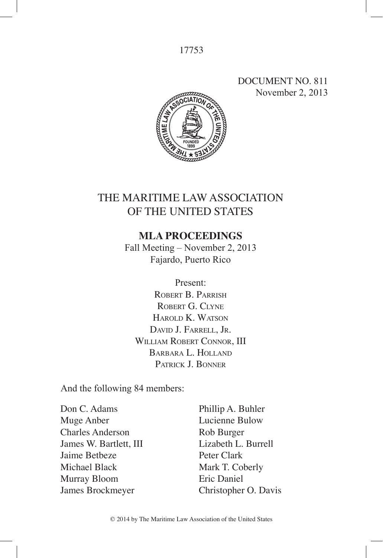# DOCUMENT NO. 811 November 2, 2013



# THE MARITIME LAW ASSOCIATION OF THE UNITED STATES

# **MLA PROCEEDINGS**

Fall Meeting – November 2, 2013 Fajardo, Puerto Rico

Present: ROBERT B. PARRISH ROBERT G. CLYNE Harold K. Watson David J. Farrell, Jr. WILLIAM ROBERT CONNOR, III Barbara L. Holland Patrick J. Bonner

And the following 84 members:

Don C. Adams Muge Anber Charles Anderson James W. Bartlett, III Jaime Betbeze Michael Black Murray Bloom James Brockmeyer

Phillip A. Buhler Lucienne Bulow Rob Burger Lizabeth L. Burrell Peter Clark Mark T. Coberly Eric Daniel Christopher O. Davis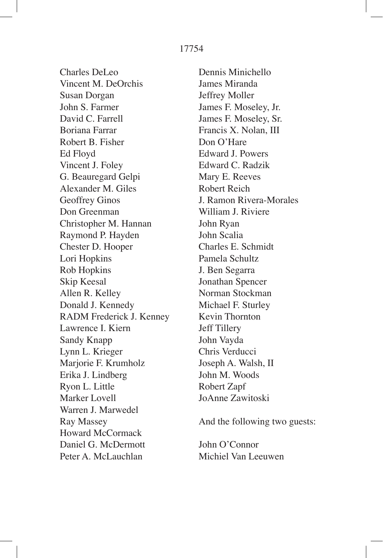Charles DeLeo Vincent M. DeOrchis Susan Dorgan John S. Farmer David C. Farrell Boriana Farrar Robert B. Fisher Ed Floyd Vincent J. Foley G. Beauregard Gelpi Alexander M. Giles Geoffrey Ginos Don Greenman Christopher M. Hannan Raymond P. Hayden Chester D. Hooper Lori Hopkins Rob Hopkins Skip Keesal Allen R. Kelley Donald J. Kennedy RADM Frederick J. Kenney Lawrence I. Kiern Sandy Knapp Lynn L. Krieger Marjorie F. Krumholz Erika J. Lindberg Ryon L. Little Marker Lovell Warren J. Marwedel Ray Massey Howard McCormack Daniel G. McDermott Peter A. McLauchlan

Dennis Minichello James Miranda Jeffrey Moller James F. Moseley, Jr. James F. Moseley, Sr. Francis X. Nolan, III Don O'Hare Edward J. Powers Edward C. Radzik Mary E. Reeves Robert Reich J. Ramon Rivera-Morales William J. Riviere John Ryan John Scalia Charles E. Schmidt Pamela Schultz J. Ben Segarra Jonathan Spencer Norman Stockman Michael F. Sturley Kevin Thornton Jeff Tillery John Vayda Chris Verducci Joseph A. Walsh, II John M. Woods Robert Zapf JoAnne Zawitoski

And the following two guests:

John O'Connor Michiel Van Leeuwen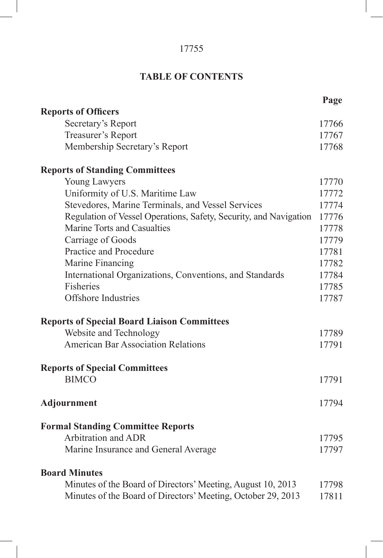# **TABLE OF CONTENTS**

|                                                                   | Page  |
|-------------------------------------------------------------------|-------|
| <b>Reports of Officers</b>                                        |       |
| Secretary's Report                                                | 17766 |
| Treasurer's Report                                                | 17767 |
| Membership Secretary's Report                                     | 17768 |
| <b>Reports of Standing Committees</b>                             |       |
| Young Lawyers                                                     | 17770 |
| Uniformity of U.S. Maritime Law                                   | 17772 |
| Stevedores, Marine Terminals, and Vessel Services                 | 17774 |
| Regulation of Vessel Operations, Safety, Security, and Navigation | 17776 |
| Marine Torts and Casualties                                       | 17778 |
| Carriage of Goods                                                 | 17779 |
| Practice and Procedure                                            | 17781 |
| Marine Financing                                                  | 17782 |
| International Organizations, Conventions, and Standards           | 17784 |
| Fisheries                                                         | 17785 |
| <b>Offshore Industries</b>                                        | 17787 |
| <b>Reports of Special Board Liaison Committees</b>                |       |
| Website and Technology                                            | 17789 |
| <b>American Bar Association Relations</b>                         | 17791 |
| <b>Reports of Special Committees</b>                              |       |
| <b>BIMCO</b>                                                      | 17791 |
| Adjournment                                                       | 17794 |
|                                                                   |       |
| <b>Formal Standing Committee Reports</b>                          |       |
| <b>Arbitration and ADR</b>                                        | 17795 |
| Marine Insurance and General Average                              | 17797 |
| <b>Board Minutes</b>                                              |       |
| Minutes of the Board of Directors' Meeting, August 10, 2013       | 17798 |
| Minutes of the Board of Directors' Meeting, October 29, 2013      | 17811 |
|                                                                   |       |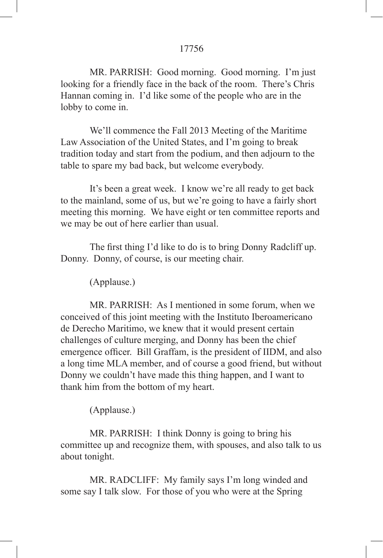MR. PARRISH: Good morning. Good morning. I'm just looking for a friendly face in the back of the room. There's Chris Hannan coming in. I'd like some of the people who are in the lobby to come in.

We'll commence the Fall 2013 Meeting of the Maritime Law Association of the United States, and I'm going to break tradition today and start from the podium, and then adjourn to the table to spare my bad back, but welcome everybody.

It's been a great week. I know we're all ready to get back to the mainland, some of us, but we're going to have a fairly short meeting this morning. We have eight or ten committee reports and we may be out of here earlier than usual.

 The first thing I'd like to do is to bring Donny Radcliff up. Donny. Donny, of course, is our meeting chair.

(Applause.)

MR. PARRISH: As I mentioned in some forum, when we conceived of this joint meeting with the Instituto Iberoamericano de Derecho Maritimo, we knew that it would present certain challenges of culture merging, and Donny has been the chief emergence officer. Bill Graffam, is the president of IIDM, and also a long time MLA member, and of course a good friend, but without Donny we couldn't have made this thing happen, and I want to thank him from the bottom of my heart.

(Applause.)

MR. PARRISH: I think Donny is going to bring his committee up and recognize them, with spouses, and also talk to us about tonight.

MR. RADCLIFF: My family says I'm long winded and some say I talk slow. For those of you who were at the Spring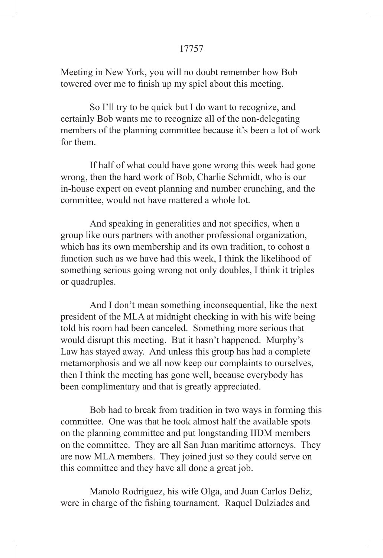Meeting in New York, you will no doubt remember how Bob towered over me to finish up my spiel about this meeting.

So I'll try to be quick but I do want to recognize, and certainly Bob wants me to recognize all of the non-delegating members of the planning committee because it's been a lot of work for them.

If half of what could have gone wrong this week had gone wrong, then the hard work of Bob, Charlie Schmidt, who is our in-house expert on event planning and number crunching, and the committee, would not have mattered a whole lot.

 And speaking in generalities and not specifics, when a group like ours partners with another professional organization, which has its own membership and its own tradition, to cohost a function such as we have had this week, I think the likelihood of something serious going wrong not only doubles, I think it triples or quadruples.

And I don't mean something inconsequential, like the next president of the MLA at midnight checking in with his wife being told his room had been canceled. Something more serious that would disrupt this meeting. But it hasn't happened. Murphy's Law has stayed away. And unless this group has had a complete metamorphosis and we all now keep our complaints to ourselves, then I think the meeting has gone well, because everybody has been complimentary and that is greatly appreciated.

Bob had to break from tradition in two ways in forming this committee. One was that he took almost half the available spots on the planning committee and put longstanding IIDM members on the committee. They are all San Juan maritime attorneys. They are now MLA members. They joined just so they could serve on this committee and they have all done a great job.

Manolo Rodriguez, his wife Olga, and Juan Carlos Deliz, were in charge of the fishing tournament. Raquel Dulziades and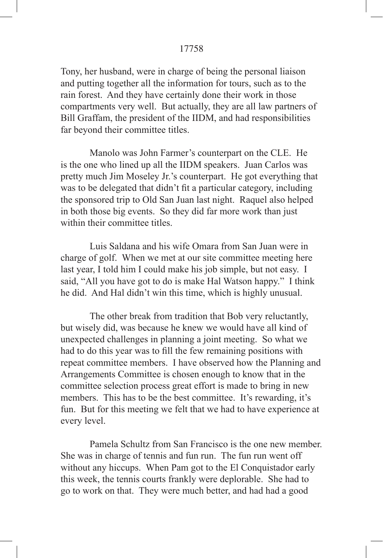Tony, her husband, were in charge of being the personal liaison and putting together all the information for tours, such as to the rain forest. And they have certainly done their work in those compartments very well. But actually, they are all law partners of Bill Graffam, the president of the IIDM, and had responsibilities far beyond their committee titles.

Manolo was John Farmer's counterpart on the CLE. He is the one who lined up all the IIDM speakers. Juan Carlos was pretty much Jim Moseley Jr.'s counterpart. He got everything that was to be delegated that didn't fit a particular category, including the sponsored trip to Old San Juan last night. Raquel also helped in both those big events. So they did far more work than just within their committee titles.

Luis Saldana and his wife Omara from San Juan were in charge of golf. When we met at our site committee meeting here last year, I told him I could make his job simple, but not easy. I said, "All you have got to do is make Hal Watson happy." I think he did. And Hal didn't win this time, which is highly unusual.

The other break from tradition that Bob very reluctantly, but wisely did, was because he knew we would have all kind of unexpected challenges in planning a joint meeting. So what we had to do this year was to fill the few remaining positions with repeat committee members. I have observed how the Planning and Arrangements Committee is chosen enough to know that in the committee selection process great effort is made to bring in new members. This has to be the best committee. It's rewarding, it's fun. But for this meeting we felt that we had to have experience at every level.

Pamela Schultz from San Francisco is the one new member. She was in charge of tennis and fun run. The fun run went off without any hiccups. When Pam got to the El Conquistador early this week, the tennis courts frankly were deplorable. She had to go to work on that. They were much better, and had had a good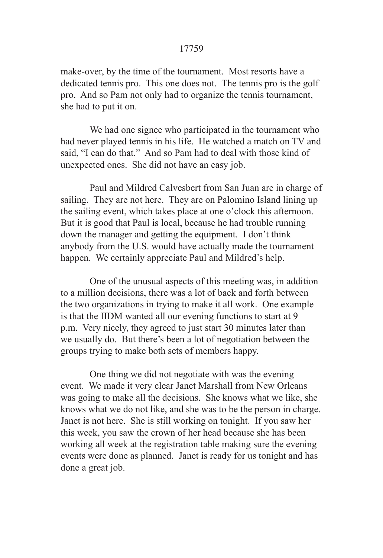make-over, by the time of the tournament. Most resorts have a dedicated tennis pro. This one does not. The tennis pro is the golf pro. And so Pam not only had to organize the tennis tournament, she had to put it on.

We had one signee who participated in the tournament who had never played tennis in his life. He watched a match on TV and said, "I can do that." And so Pam had to deal with those kind of unexpected ones. She did not have an easy job.

Paul and Mildred Calvesbert from San Juan are in charge of sailing. They are not here. They are on Palomino Island lining up the sailing event, which takes place at one o'clock this afternoon. But it is good that Paul is local, because he had trouble running down the manager and getting the equipment. I don't think anybody from the U.S. would have actually made the tournament happen. We certainly appreciate Paul and Mildred's help.

One of the unusual aspects of this meeting was, in addition to a million decisions, there was a lot of back and forth between the two organizations in trying to make it all work. One example is that the IIDM wanted all our evening functions to start at 9 p.m. Very nicely, they agreed to just start 30 minutes later than we usually do. But there's been a lot of negotiation between the groups trying to make both sets of members happy.

One thing we did not negotiate with was the evening event. We made it very clear Janet Marshall from New Orleans was going to make all the decisions. She knows what we like, she knows what we do not like, and she was to be the person in charge. Janet is not here. She is still working on tonight. If you saw her this week, you saw the crown of her head because she has been working all week at the registration table making sure the evening events were done as planned. Janet is ready for us tonight and has done a great job.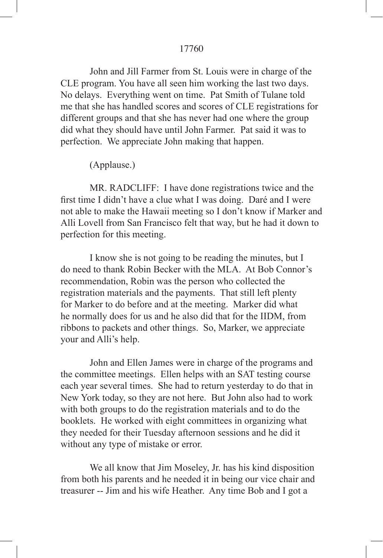John and Jill Farmer from St. Louis were in charge of the CLE program. You have all seen him working the last two days. No delays. Everything went on time. Pat Smith of Tulane told me that she has handled scores and scores of CLE registrations for different groups and that she has never had one where the group did what they should have until John Farmer. Pat said it was to perfection. We appreciate John making that happen.

(Applause.)

MR. RADCLIFF: I have done registrations twice and the first time I didn't have a clue what I was doing. Daré and I were not able to make the Hawaii meeting so I don't know if Marker and Alli Lovell from San Francisco felt that way, but he had it down to perfection for this meeting.

I know she is not going to be reading the minutes, but I do need to thank Robin Becker with the MLA. At Bob Connor's recommendation, Robin was the person who collected the registration materials and the payments. That still left plenty for Marker to do before and at the meeting. Marker did what he normally does for us and he also did that for the IIDM, from ribbons to packets and other things. So, Marker, we appreciate your and Alli's help.

John and Ellen James were in charge of the programs and the committee meetings. Ellen helps with an SAT testing course each year several times. She had to return yesterday to do that in New York today, so they are not here. But John also had to work with both groups to do the registration materials and to do the booklets. He worked with eight committees in organizing what they needed for their Tuesday afternoon sessions and he did it without any type of mistake or error.

We all know that Jim Moseley, Jr. has his kind disposition from both his parents and he needed it in being our vice chair and treasurer -- Jim and his wife Heather. Any time Bob and I got a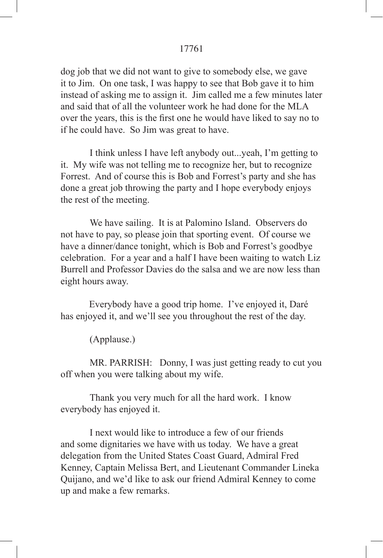dog job that we did not want to give to somebody else, we gave it to Jim. On one task, I was happy to see that Bob gave it to him instead of asking me to assign it. Jim called me a few minutes later and said that of all the volunteer work he had done for the MLA over the years, this is the first one he would have liked to say no to if he could have. So Jim was great to have.

I think unless I have left anybody out...yeah, I'm getting to it. My wife was not telling me to recognize her, but to recognize Forrest. And of course this is Bob and Forrest's party and she has done a great job throwing the party and I hope everybody enjoys the rest of the meeting.

We have sailing. It is at Palomino Island. Observers do not have to pay, so please join that sporting event. Of course we have a dinner/dance tonight, which is Bob and Forrest's goodbye celebration. For a year and a half I have been waiting to watch Liz Burrell and Professor Davies do the salsa and we are now less than eight hours away.

Everybody have a good trip home. I've enjoyed it, Daré has enjoyed it, and we'll see you throughout the rest of the day.

(Applause.)

MR. PARRISH: Donny, I was just getting ready to cut you off when you were talking about my wife.

Thank you very much for all the hard work. I know everybody has enjoyed it.

I next would like to introduce a few of our friends and some dignitaries we have with us today. We have a great delegation from the United States Coast Guard, Admiral Fred Kenney, Captain Melissa Bert, and Lieutenant Commander Lineka Quijano, and we'd like to ask our friend Admiral Kenney to come up and make a few remarks.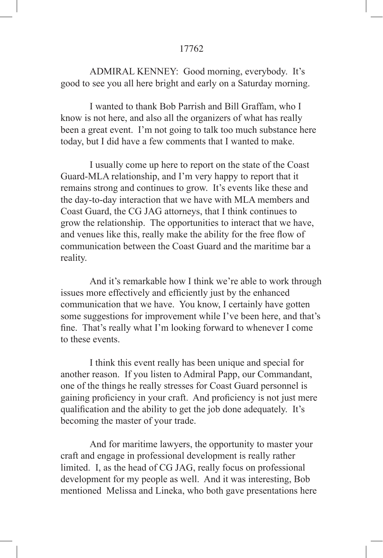ADMIRAL KENNEY: Good morning, everybody. It's good to see you all here bright and early on a Saturday morning.

I wanted to thank Bob Parrish and Bill Graffam, who I know is not here, and also all the organizers of what has really been a great event. I'm not going to talk too much substance here today, but I did have a few comments that I wanted to make.

I usually come up here to report on the state of the Coast Guard-MLA relationship, and I'm very happy to report that it remains strong and continues to grow. It's events like these and the day-to-day interaction that we have with MLA members and Coast Guard, the CG JAG attorneys, that I think continues to grow the relationship. The opportunities to interact that we have, and venues like this, really make the ability for the free flow of communication between the Coast Guard and the maritime bar a reality.

And it's remarkable how I think we're able to work through issues more effectively and efficiently just by the enhanced communication that we have. You know, I certainly have gotten some suggestions for improvement while I've been here, and that's fine. That's really what I'm looking forward to whenever I come to these events.

I think this event really has been unique and special for another reason. If you listen to Admiral Papp, our Commandant, one of the things he really stresses for Coast Guard personnel is gaining proficiency in your craft. And proficiency is not just mere qualification and the ability to get the job done adequately. It's becoming the master of your trade.

And for maritime lawyers, the opportunity to master your craft and engage in professional development is really rather limited. I, as the head of CG JAG, really focus on professional development for my people as well. And it was interesting, Bob mentioned Melissa and Lineka, who both gave presentations here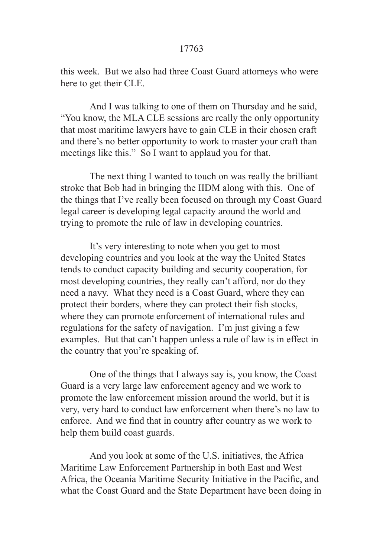this week. But we also had three Coast Guard attorneys who were here to get their CLE.

And I was talking to one of them on Thursday and he said, "You know, the MLA CLE sessions are really the only opportunity that most maritime lawyers have to gain CLE in their chosen craft and there's no better opportunity to work to master your craft than meetings like this." So I want to applaud you for that.

The next thing I wanted to touch on was really the brilliant stroke that Bob had in bringing the IIDM along with this. One of the things that I've really been focused on through my Coast Guard legal career is developing legal capacity around the world and trying to promote the rule of law in developing countries.

It's very interesting to note when you get to most developing countries and you look at the way the United States tends to conduct capacity building and security cooperation, for most developing countries, they really can't afford, nor do they need a navy. What they need is a Coast Guard, where they can protect their borders, where they can protect their fish stocks, where they can promote enforcement of international rules and regulations for the safety of navigation. I'm just giving a few examples. But that can't happen unless a rule of law is in effect in the country that you're speaking of.

One of the things that I always say is, you know, the Coast Guard is a very large law enforcement agency and we work to promote the law enforcement mission around the world, but it is very, very hard to conduct law enforcement when there's no law to enforce. And we find that in country after country as we work to help them build coast guards.

And you look at some of the U.S. initiatives, the Africa Maritime Law Enforcement Partnership in both East and West Africa, the Oceania Maritime Security Initiative in the Pacific, and what the Coast Guard and the State Department have been doing in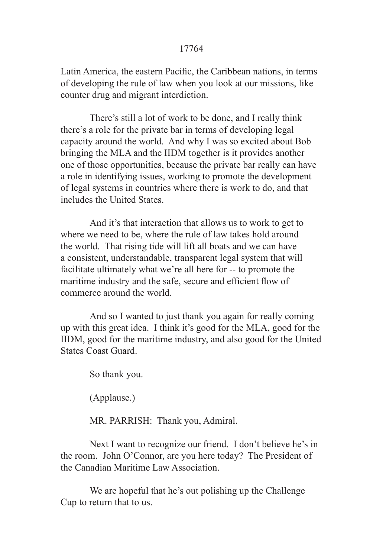Latin America, the eastern Pacific, the Caribbean nations, in terms of developing the rule of law when you look at our missions, like counter drug and migrant interdiction.

There's still a lot of work to be done, and I really think there's a role for the private bar in terms of developing legal capacity around the world. And why I was so excited about Bob bringing the MLA and the IIDM together is it provides another one of those opportunities, because the private bar really can have a role in identifying issues, working to promote the development of legal systems in countries where there is work to do, and that includes the United States.

And it's that interaction that allows us to work to get to where we need to be, where the rule of law takes hold around the world. That rising tide will lift all boats and we can have a consistent, understandable, transparent legal system that will facilitate ultimately what we're all here for -- to promote the maritime industry and the safe, secure and efficient flow of commerce around the world.

And so I wanted to just thank you again for really coming up with this great idea. I think it's good for the MLA, good for the IIDM, good for the maritime industry, and also good for the United States Coast Guard.

So thank you.

(Applause.)

MR. PARRISH: Thank you, Admiral.

Next I want to recognize our friend. I don't believe he's in the room. John O'Connor, are you here today? The President of the Canadian Maritime Law Association.

We are hopeful that he's out polishing up the Challenge Cup to return that to us.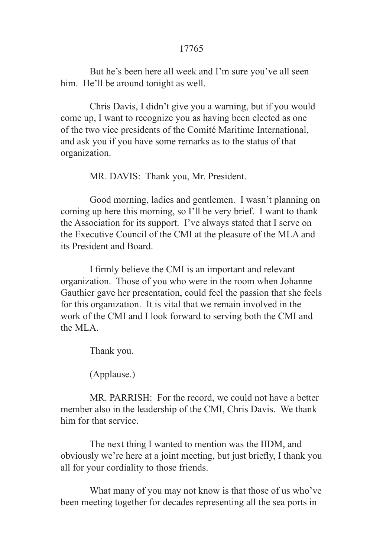But he's been here all week and I'm sure you've all seen him. He'll be around tonight as well.

Chris Davis, I didn't give you a warning, but if you would come up, I want to recognize you as having been elected as one of the two vice presidents of the Comité Maritime International, and ask you if you have some remarks as to the status of that organization.

MR. DAVIS: Thank you, Mr. President.

Good morning, ladies and gentlemen. I wasn't planning on coming up here this morning, so I'll be very brief. I want to thank the Association for its support. I've always stated that I serve on the Executive Council of the CMI at the pleasure of the MLA and its President and Board.

 I firmly believe the CMI is an important and relevant organization. Those of you who were in the room when Johanne Gauthier gave her presentation, could feel the passion that she feels for this organization. It is vital that we remain involved in the work of the CMI and I look forward to serving both the CMI and the MLA.

Thank you.

(Applause.)

MR. PARRISH: For the record, we could not have a better member also in the leadership of the CMI, Chris Davis. We thank him for that service.

The next thing I wanted to mention was the IIDM, and obviously we're here at a joint meeting, but just briefly, I thank you all for your cordiality to those friends.

What many of you may not know is that those of us who've been meeting together for decades representing all the sea ports in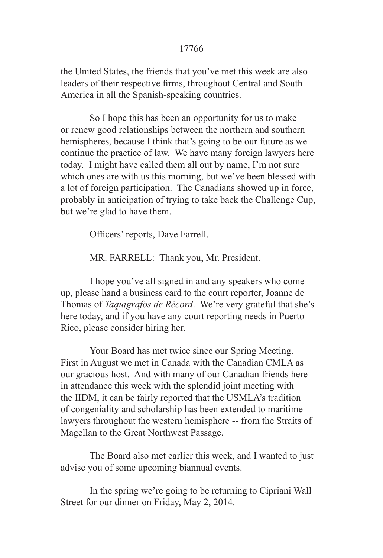the United States, the friends that you've met this week are also leaders of their respective firms, throughout Central and South America in all the Spanish-speaking countries.

So I hope this has been an opportunity for us to make or renew good relationships between the northern and southern hemispheres, because I think that's going to be our future as we continue the practice of law. We have many foreign lawyers here today. I might have called them all out by name, I'm not sure which ones are with us this morning, but we've been blessed with a lot of foreign participation. The Canadians showed up in force, probably in anticipation of trying to take back the Challenge Cup, but we're glad to have them.

 Officers' reports, Dave Farrell.

MR. FARRELL: Thank you, Mr. President.

I hope you've all signed in and any speakers who come up, please hand a business card to the court reporter, Joanne de Thomas of *Taquígrafos de Récord*. We're very grateful that she's here today, and if you have any court reporting needs in Puerto Rico, please consider hiring her.

Your Board has met twice since our Spring Meeting. First in August we met in Canada with the Canadian CMLA as our gracious host. And with many of our Canadian friends here in attendance this week with the splendid joint meeting with the IIDM, it can be fairly reported that the USMLA's tradition of congeniality and scholarship has been extended to maritime lawyers throughout the western hemisphere -- from the Straits of Magellan to the Great Northwest Passage.

The Board also met earlier this week, and I wanted to just advise you of some upcoming biannual events.

In the spring we're going to be returning to Cipriani Wall Street for our dinner on Friday, May 2, 2014.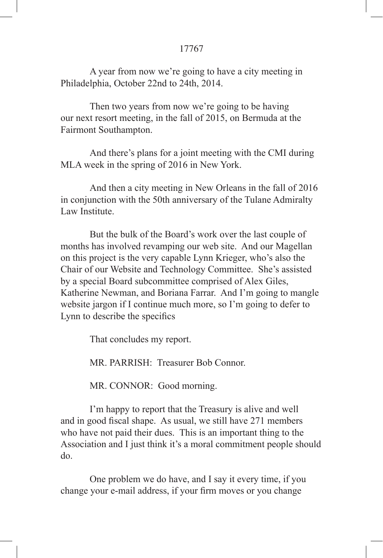A year from now we're going to have a city meeting in Philadelphia, October 22nd to 24th, 2014.

Then two years from now we're going to be having our next resort meeting, in the fall of 2015, on Bermuda at the Fairmont Southampton.

And there's plans for a joint meeting with the CMI during MLA week in the spring of 2016 in New York.

And then a city meeting in New Orleans in the fall of 2016 in conjunction with the 50th anniversary of the Tulane Admiralty Law Institute.

But the bulk of the Board's work over the last couple of months has involved revamping our web site. And our Magellan on this project is the very capable Lynn Krieger, who's also the Chair of our Website and Technology Committee. She's assisted by a special Board subcommittee comprised of Alex Giles, Katherine Newman, and Boriana Farrar. And I'm going to mangle website jargon if I continue much more, so I'm going to defer to Lynn to describe the specifics

That concludes my report.

MR. PARRISH: Treasurer Bob Connor.

MR. CONNOR: Good morning.

I'm happy to report that the Treasury is alive and well and in good fiscal shape. As usual, we still have 271 members who have not paid their dues. This is an important thing to the Association and I just think it's a moral commitment people should do.

One problem we do have, and I say it every time, if you change your e-mail address, if your firm moves or you change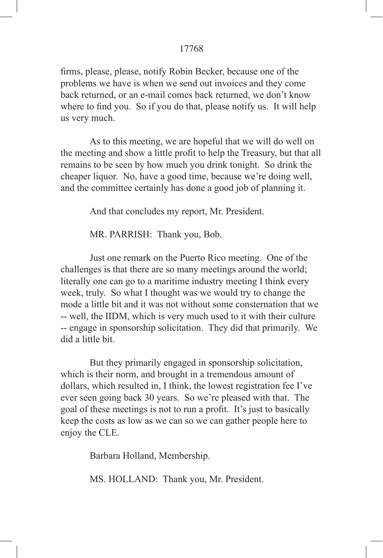firms, please, please, notify Robin Becker, because one of the problems we have is when we send out invoices and they come back returned, or an e-mail comes back returned, we don't know where to find you. So if you do that, please notify us. It will help us very much.

As to this meeting, we are hopeful that we will do well on the meeting and show a little profit to help the Treasury, but that all remains to be seen by how much you drink tonight. So drink the cheaper liquor. No, have a good time, because we're doing well, and the committee certainly has done a good job of planning it.

And that concludes my report, Mr. President.

MR. PARRISH: Thank you, Bob.

Just one remark on the Puerto Rico meeting. One of the challenges is that there are so many meetings around the world; literally one can go to a maritime industry meeting I think every week, truly. So what I thought was we would try to change the mode a little bit and it was not without some consternation that we -- well, the IIDM, which is very much used to it with their culture -- engage in sponsorship solicitation. They did that primarily. We did a little bit.

But they primarily engaged in sponsorship solicitation, which is their norm, and brought in a tremendous amount of dollars, which resulted in, I think, the lowest registration fee I've ever seen going back 30 years. So we're pleased with that. The goal of these meetings is not to run a profit. It's just to basically keep the costs as low as we can so we can gather people here to enjoy the CLE.

Barbara Holland, Membership.

MS. HOLLAND: Thank you, Mr. President.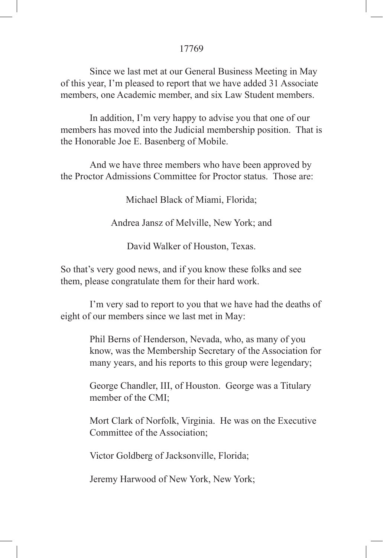Since we last met at our General Business Meeting in May of this year, I'm pleased to report that we have added 31 Associate members, one Academic member, and six Law Student members.

In addition, I'm very happy to advise you that one of our members has moved into the Judicial membership position. That is the Honorable Joe E. Basenberg of Mobile.

And we have three members who have been approved by the Proctor Admissions Committee for Proctor status. Those are:

Michael Black of Miami, Florida;

Andrea Jansz of Melville, New York; and

David Walker of Houston, Texas.

So that's very good news, and if you know these folks and see them, please congratulate them for their hard work.

I'm very sad to report to you that we have had the deaths of eight of our members since we last met in May:

> Phil Berns of Henderson, Nevada, who, as many of you know, was the Membership Secretary of the Association for many years, and his reports to this group were legendary;

George Chandler, III, of Houston. George was a Titulary member of the CMI;

Mort Clark of Norfolk, Virginia. He was on the Executive Committee of the Association;

Victor Goldberg of Jacksonville, Florida;

Jeremy Harwood of New York, New York;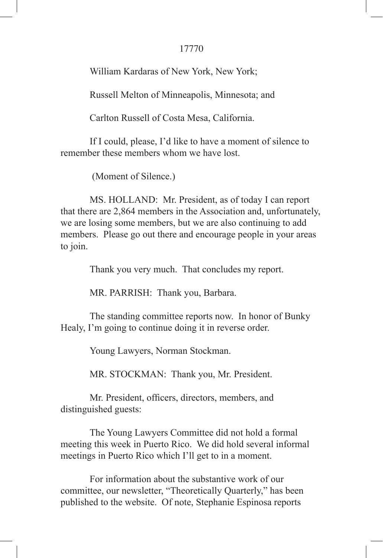William Kardaras of New York, New York;

Russell Melton of Minneapolis, Minnesota; and

Carlton Russell of Costa Mesa, California.

If I could, please, I'd like to have a moment of silence to remember these members whom we have lost.

(Moment of Silence.)

MS. HOLLAND: Mr. President, as of today I can report that there are 2,864 members in the Association and, unfortunately, we are losing some members, but we are also continuing to add members. Please go out there and encourage people in your areas to join.

Thank you very much. That concludes my report.

MR. PARRISH: Thank you, Barbara.

The standing committee reports now. In honor of Bunky Healy, I'm going to continue doing it in reverse order.

Young Lawyers, Norman Stockman.

MR. STOCKMAN: Thank you, Mr. President.

 Mr. President, officers, directors, members, and distinguished guests:

The Young Lawyers Committee did not hold a formal meeting this week in Puerto Rico. We did hold several informal meetings in Puerto Rico which I'll get to in a moment.

For information about the substantive work of our committee, our newsletter, "Theoretically Quarterly," has been published to the website. Of note, Stephanie Espinosa reports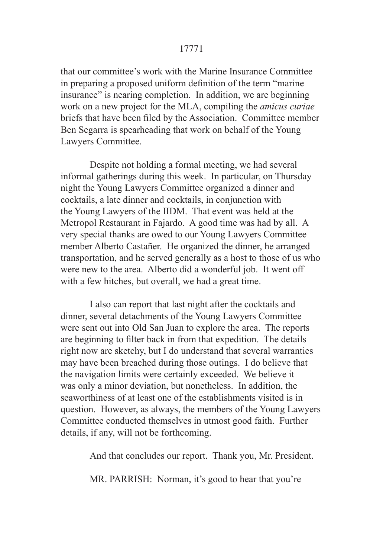that our committee's work with the Marine Insurance Committee in preparing a proposed uniform definition of the term "marine insurance" is nearing completion. In addition, we are beginning work on a new project for the MLA, compiling the *amicus curiae* briefs that have been filed by the Association. Committee member Ben Segarra is spearheading that work on behalf of the Young Lawyers Committee.

Despite not holding a formal meeting, we had several informal gatherings during this week. In particular, on Thursday night the Young Lawyers Committee organized a dinner and cocktails, a late dinner and cocktails, in conjunction with the Young Lawyers of the IIDM. That event was held at the Metropol Restaurant in Fajardo. A good time was had by all. A very special thanks are owed to our Young Lawyers Committee member Alberto Castañer. He organized the dinner, he arranged transportation, and he served generally as a host to those of us who were new to the area. Alberto did a wonderful job. It went off with a few hitches, but overall, we had a great time.

I also can report that last night after the cocktails and dinner, several detachments of the Young Lawyers Committee were sent out into Old San Juan to explore the area. The reports are beginning to filter back in from that expedition. The details right now are sketchy, but I do understand that several warranties may have been breached during those outings. I do believe that the navigation limits were certainly exceeded. We believe it was only a minor deviation, but nonetheless. In addition, the seaworthiness of at least one of the establishments visited is in question. However, as always, the members of the Young Lawyers Committee conducted themselves in utmost good faith. Further details, if any, will not be forthcoming.

And that concludes our report. Thank you, Mr. President.

MR. PARRISH: Norman, it's good to hear that you're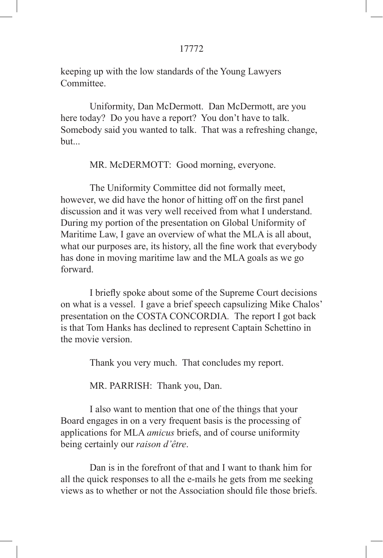keeping up with the low standards of the Young Lawyers **Committee** 

Uniformity, Dan McDermott. Dan McDermott, are you here today? Do you have a report? You don't have to talk. Somebody said you wanted to talk. That was a refreshing change,  $h$ ut...

MR. McDERMOTT: Good morning, everyone.

The Uniformity Committee did not formally meet, however, we did have the honor of hitting off on the first panel discussion and it was very well received from what I understand. During my portion of the presentation on Global Uniformity of Maritime Law, I gave an overview of what the MLA is all about, what our purposes are, its history, all the fine work that everybody has done in moving maritime law and the MLA goals as we go forward.

 I briefly spoke about some of the Supreme Court decisions on what is a vessel. I gave a brief speech capsulizing Mike Chalos' presentation on the COSTA CONCORDIA*.* The report I got back is that Tom Hanks has declined to represent Captain Schettino in the movie version.

Thank you very much. That concludes my report.

MR. PARRISH: Thank you, Dan.

I also want to mention that one of the things that your Board engages in on a very frequent basis is the processing of applications for MLA *amicus* briefs, and of course uniformity being certainly our *raison d'être*.

Dan is in the forefront of that and I want to thank him for all the quick responses to all the e-mails he gets from me seeking views as to whether or not the Association should file those briefs.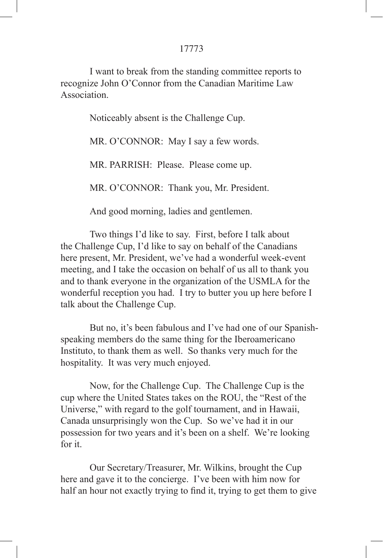I want to break from the standing committee reports to recognize John O'Connor from the Canadian Maritime Law **Association** 

Noticeably absent is the Challenge Cup.

MR. O'CONNOR: May I say a few words.

MR. PARRISH: Please. Please come up.

MR. O'CONNOR: Thank you, Mr. President.

And good morning, ladies and gentlemen.

Two things I'd like to say. First, before I talk about the Challenge Cup, I'd like to say on behalf of the Canadians here present, Mr. President, we've had a wonderful week-event meeting, and I take the occasion on behalf of us all to thank you and to thank everyone in the organization of the USMLA for the wonderful reception you had. I try to butter you up here before I talk about the Challenge Cup.

But no, it's been fabulous and I've had one of our Spanishspeaking members do the same thing for the Iberoamericano Instituto, to thank them as well. So thanks very much for the hospitality. It was very much enjoyed.

Now, for the Challenge Cup. The Challenge Cup is the cup where the United States takes on the ROU, the "Rest of the Universe," with regard to the golf tournament, and in Hawaii, Canada unsurprisingly won the Cup. So we've had it in our possession for two years and it's been on a shelf. We're looking for it.

Our Secretary/Treasurer, Mr. Wilkins, brought the Cup here and gave it to the concierge. I've been with him now for half an hour not exactly trying to find it, trying to get them to give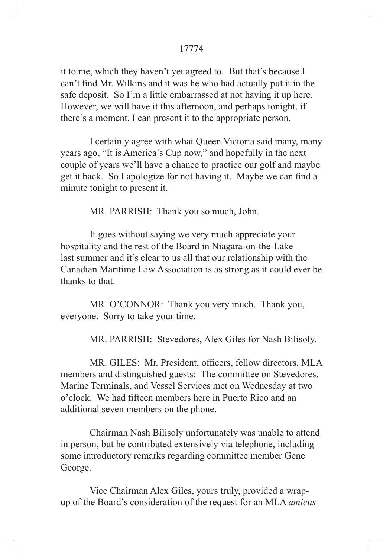it to me, which they haven't yet agreed to. But that's because I can't find Mr. Wilkins and it was he who had actually put it in the safe deposit. So I'm a little embarrassed at not having it up here. However, we will have it this afternoon, and perhaps tonight, if there's a moment, I can present it to the appropriate person.

I certainly agree with what Queen Victoria said many, many years ago, "It is America's Cup now," and hopefully in the next couple of years we'll have a chance to practice our golf and maybe get it back. So I apologize for not having it. Maybe we can find a minute tonight to present it.

MR. PARRISH: Thank you so much, John.

It goes without saying we very much appreciate your hospitality and the rest of the Board in Niagara-on-the-Lake last summer and it's clear to us all that our relationship with the Canadian Maritime Law Association is as strong as it could ever be thanks to that.

MR. O'CONNOR: Thank you very much. Thank you, everyone. Sorry to take your time.

MR. PARRISH: Stevedores, Alex Giles for Nash Bilisoly.

 MR. GILES: Mr. President, officers, fellow directors, MLA members and distinguished guests: The committee on Stevedores, Marine Terminals, and Vessel Services met on Wednesday at two o'clock. We had fifteen members here in Puerto Rico and an additional seven members on the phone.

Chairman Nash Bilisoly unfortunately was unable to attend in person, but he contributed extensively via telephone, including some introductory remarks regarding committee member Gene George.

Vice Chairman Alex Giles, yours truly, provided a wrapup of the Board's consideration of the request for an MLA *amicus*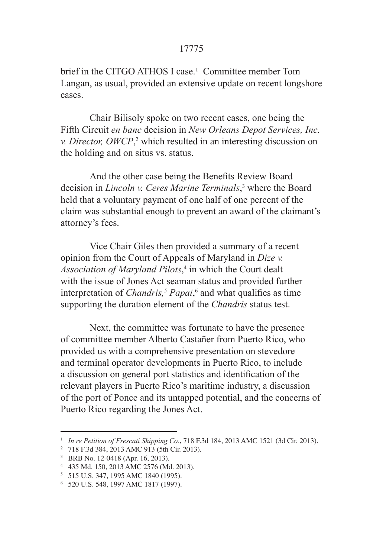brief in the CITGO ATHOS I case.<sup>1</sup> Committee member Tom Langan, as usual, provided an extensive update on recent longshore cases.

Chair Bilisoly spoke on two recent cases, one being the Fifth Circuit *en banc* decision in *New Orleans Depot Services, Inc. v. Director, OWCP*,<sup>2</sup> which resulted in an interesting discussion on the holding and on situs vs. status.

 And the other case being the Benefits Review Board decision in *Lincoln v. Ceres Marine Terminals*, 3 where the Board held that a voluntary payment of one half of one percent of the claim was substantial enough to prevent an award of the claimant's attorney's fees.

Vice Chair Giles then provided a summary of a recent opinion from the Court of Appeals of Maryland in *Dize v.*  Association of Maryland Pilots,<sup>4</sup> in which the Court dealt with the issue of Jones Act seaman status and provided further interpretation of *Chandris*,<sup>5</sup> *Papai*,<sup>6</sup> and what qualifies as time supporting the duration element of the *Chandris* status test.

Next, the committee was fortunate to have the presence of committee member Alberto Castañer from Puerto Rico, who provided us with a comprehensive presentation on stevedore and terminal operator developments in Puerto Rico, to include a discussion on general port statistics and identification of the relevant players in Puerto Rico's maritime industry, a discussion of the port of Ponce and its untapped potential, and the concerns of Puerto Rico regarding the Jones Act.

<sup>1</sup> *In re Petition of Frescati Shipping Co.*, 718 F.3d 184, 2013 AMC 1521 (3d Cir. 2013).

<sup>2</sup> 718 F.3d 384, 2013 AMC 913 (5th Cir. 2013).

<sup>3</sup> BRB No. 12-0418 (Apr. 16, 2013).

<sup>4</sup> 435 Md. 150, 2013 AMC 2576 (Md. 2013).

<sup>5</sup> 515 U.S. 347, 1995 AMC 1840 (1995).

<sup>6</sup> 520 U.S. 548, 1997 AMC 1817 (1997).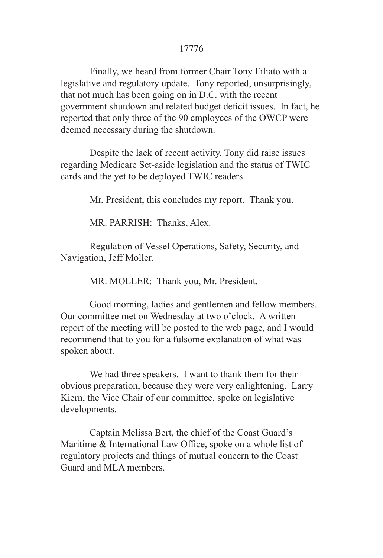Finally, we heard from former Chair Tony Filiato with a legislative and regulatory update. Tony reported, unsurprisingly, that not much has been going on in D.C. with the recent government shutdown and related budget deficit issues. In fact, he reported that only three of the 90 employees of the OWCP were deemed necessary during the shutdown.

Despite the lack of recent activity, Tony did raise issues regarding Medicare Set-aside legislation and the status of TWIC cards and the yet to be deployed TWIC readers.

Mr. President, this concludes my report. Thank you.

MR. PARRISH: Thanks, Alex.

Regulation of Vessel Operations, Safety, Security, and Navigation, Jeff Moller.

MR. MOLLER: Thank you, Mr. President.

Good morning, ladies and gentlemen and fellow members. Our committee met on Wednesday at two o'clock. A written report of the meeting will be posted to the web page, and I would recommend that to you for a fulsome explanation of what was spoken about.

We had three speakers. I want to thank them for their obvious preparation, because they were very enlightening. Larry Kiern, the Vice Chair of our committee, spoke on legislative developments.

Captain Melissa Bert, the chief of the Coast Guard's Maritime & International Law Office, spoke on a whole list of regulatory projects and things of mutual concern to the Coast Guard and MLA members.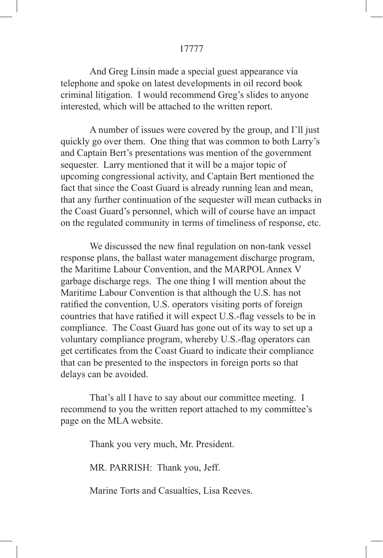And Greg Linsin made a special guest appearance via telephone and spoke on latest developments in oil record book criminal litigation. I would recommend Greg's slides to anyone interested, which will be attached to the written report.

A number of issues were covered by the group, and I'll just quickly go over them. One thing that was common to both Larry's and Captain Bert's presentations was mention of the government sequester. Larry mentioned that it will be a major topic of upcoming congressional activity, and Captain Bert mentioned the fact that since the Coast Guard is already running lean and mean, that any further continuation of the sequester will mean cutbacks in the Coast Guard's personnel, which will of course have an impact on the regulated community in terms of timeliness of response, etc.

 We discussed the new final regulation on non-tank vessel response plans, the ballast water management discharge program, the Maritime Labour Convention, and the MARPOL Annex V garbage discharge regs. The one thing I will mention about the Maritime Labour Convention is that although the U.S. has not ratified the convention, U.S. operators visiting ports of foreign countries that have ratified it will expect U.S.-flag vessels to be in compliance. The Coast Guard has gone out of its way to set up a voluntary compliance program, whereby U.S.-flag operators can get certificates from the Coast Guard to indicate their compliance that can be presented to the inspectors in foreign ports so that delays can be avoided.

That's all I have to say about our committee meeting. I recommend to you the written report attached to my committee's page on the MLA website.

Thank you very much, Mr. President.

MR. PARRISH: Thank you, Jeff.

Marine Torts and Casualties, Lisa Reeves.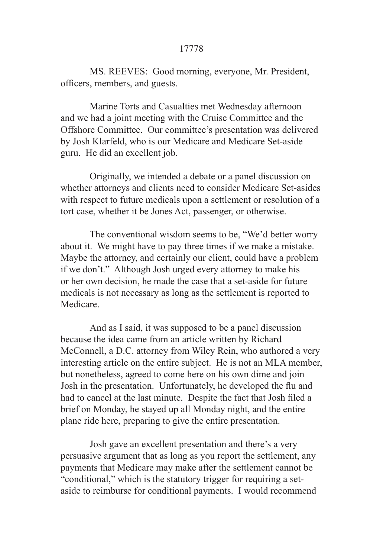MS. REEVES: Good morning, everyone, Mr. President, officers, members, and guests.

Marine Torts and Casualties met Wednesday afternoon and we had a joint meeting with the Cruise Committee and the Offshore Committee. Our committee's presentation was delivered by Josh Klarfeld, who is our Medicare and Medicare Set-aside guru. He did an excellent job.

Originally, we intended a debate or a panel discussion on whether attorneys and clients need to consider Medicare Set-asides with respect to future medicals upon a settlement or resolution of a tort case, whether it be Jones Act, passenger, or otherwise.

The conventional wisdom seems to be, "We'd better worry about it. We might have to pay three times if we make a mistake. Maybe the attorney, and certainly our client, could have a problem if we don't." Although Josh urged every attorney to make his or her own decision, he made the case that a set-aside for future medicals is not necessary as long as the settlement is reported to **Medicare** 

And as I said, it was supposed to be a panel discussion because the idea came from an article written by Richard McConnell, a D.C. attorney from Wiley Rein, who authored a very interesting article on the entire subject. He is not an MLA member, but nonetheless, agreed to come here on his own dime and join Josh in the presentation. Unfortunately, he developed the flu and had to cancel at the last minute. Despite the fact that Josh filed a brief on Monday, he stayed up all Monday night, and the entire plane ride here, preparing to give the entire presentation.

Josh gave an excellent presentation and there's a very persuasive argument that as long as you report the settlement, any payments that Medicare may make after the settlement cannot be "conditional," which is the statutory trigger for requiring a setaside to reimburse for conditional payments. I would recommend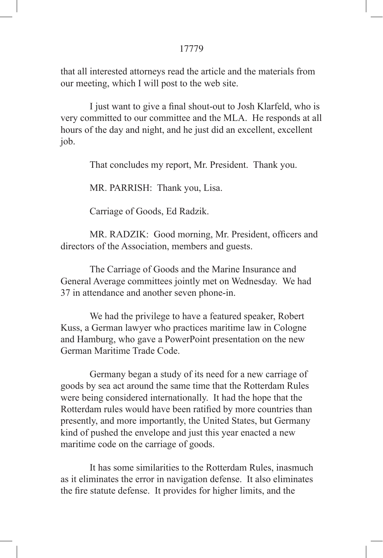that all interested attorneys read the article and the materials from our meeting, which I will post to the web site.

 I just want to give a final shout-out to Josh Klarfeld, who is very committed to our committee and the MLA. He responds at all hours of the day and night, and he just did an excellent, excellent job.

That concludes my report, Mr. President. Thank you.

MR. PARRISH: Thank you, Lisa.

Carriage of Goods, Ed Radzik.

 MR. RADZIK: Good morning, Mr. President, officers and directors of the Association, members and guests.

The Carriage of Goods and the Marine Insurance and General Average committees jointly met on Wednesday. We had 37 in attendance and another seven phone-in.

We had the privilege to have a featured speaker, Robert Kuss, a German lawyer who practices maritime law in Cologne and Hamburg, who gave a PowerPoint presentation on the new German Maritime Trade Code.

Germany began a study of its need for a new carriage of goods by sea act around the same time that the Rotterdam Rules were being considered internationally. It had the hope that the Rotterdam rules would have been ratified by more countries than presently, and more importantly, the United States, but Germany kind of pushed the envelope and just this year enacted a new maritime code on the carriage of goods.

It has some similarities to the Rotterdam Rules, inasmuch as it eliminates the error in navigation defense. It also eliminates the fire statute defense. It provides for higher limits, and the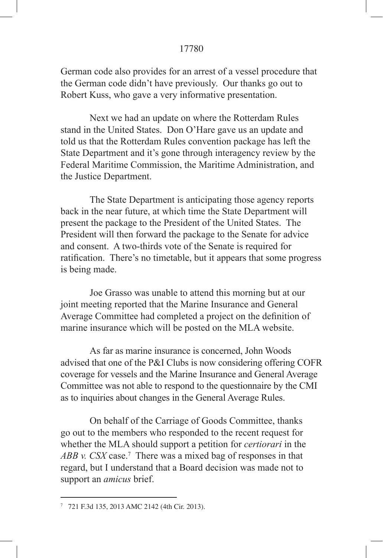German code also provides for an arrest of a vessel procedure that the German code didn't have previously. Our thanks go out to Robert Kuss, who gave a very informative presentation.

Next we had an update on where the Rotterdam Rules stand in the United States. Don O'Hare gave us an update and told us that the Rotterdam Rules convention package has left the State Department and it's gone through interagency review by the Federal Maritime Commission, the Maritime Administration, and the Justice Department.

The State Department is anticipating those agency reports back in the near future, at which time the State Department will present the package to the President of the United States. The President will then forward the package to the Senate for advice and consent. A two-thirds vote of the Senate is required for ratification. There's no timetable, but it appears that some progress is being made.

Joe Grasso was unable to attend this morning but at our joint meeting reported that the Marine Insurance and General Average Committee had completed a project on the definition of marine insurance which will be posted on the MLA website.

As far as marine insurance is concerned, John Woods advised that one of the P&I Clubs is now considering offering COFR coverage for vessels and the Marine Insurance and General Average Committee was not able to respond to the questionnaire by the CMI as to inquiries about changes in the General Average Rules.

On behalf of the Carriage of Goods Committee, thanks go out to the members who responded to the recent request for whether the MLA should support a petition for *certiorari* in the ABB v. CSX case.<sup>7</sup> There was a mixed bag of responses in that regard, but I understand that a Board decision was made not to support an *amicus* brief.

<sup>7</sup> 721 F.3d 135, 2013 AMC 2142 (4th Cir. 2013).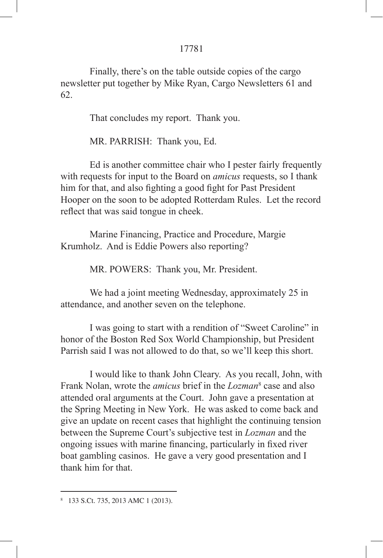Finally, there's on the table outside copies of the cargo newsletter put together by Mike Ryan, Cargo Newsletters 61 and 62.

That concludes my report. Thank you.

MR. PARRISH: Thank you, Ed.

Ed is another committee chair who I pester fairly frequently with requests for input to the Board on *amicus* requests, so I thank him for that, and also fighting a good fight for Past President Hooper on the soon to be adopted Rotterdam Rules. Let the record reflect that was said tongue in cheek.

Marine Financing, Practice and Procedure, Margie Krumholz. And is Eddie Powers also reporting?

MR. POWERS: Thank you, Mr. President.

We had a joint meeting Wednesday, approximately 25 in attendance, and another seven on the telephone.

I was going to start with a rendition of "Sweet Caroline" in honor of the Boston Red Sox World Championship, but President Parrish said I was not allowed to do that, so we'll keep this short.

I would like to thank John Cleary. As you recall, John, with Frank Nolan, wrote the *amicus* brief in the *Lozman*<sup>8</sup> case and also attended oral arguments at the Court. John gave a presentation at the Spring Meeting in New York. He was asked to come back and give an update on recent cases that highlight the continuing tension between the Supreme Court's subjective test in *Lozman* and the ongoing issues with marine financing, particularly in fixed river boat gambling casinos. He gave a very good presentation and I thank him for that.

<sup>8</sup> 133 S.Ct. 735, 2013 AMC 1 (2013).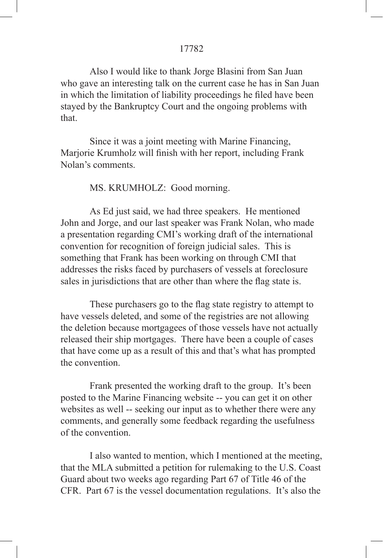Also I would like to thank Jorge Blasini from San Juan who gave an interesting talk on the current case he has in San Juan in which the limitation of liability proceedings he filed have been stayed by the Bankruptcy Court and the ongoing problems with that.

Since it was a joint meeting with Marine Financing, Marjorie Krumholz will finish with her report, including Frank Nolan's comments.

MS. KRUMHOLZ: Good morning.

As Ed just said, we had three speakers. He mentioned John and Jorge, and our last speaker was Frank Nolan, who made a presentation regarding CMI's working draft of the international convention for recognition of foreign judicial sales. This is something that Frank has been working on through CMI that addresses the risks faced by purchasers of vessels at foreclosure sales in jurisdictions that are other than where the flag state is.

 These purchasers go to the flag state registry to attempt to have vessels deleted, and some of the registries are not allowing the deletion because mortgagees of those vessels have not actually released their ship mortgages. There have been a couple of cases that have come up as a result of this and that's what has prompted the convention.

Frank presented the working draft to the group. It's been posted to the Marine Financing website -- you can get it on other websites as well -- seeking our input as to whether there were any comments, and generally some feedback regarding the usefulness of the convention.

I also wanted to mention, which I mentioned at the meeting, that the MLA submitted a petition for rulemaking to the U.S. Coast Guard about two weeks ago regarding Part 67 of Title 46 of the CFR. Part 67 is the vessel documentation regulations. It's also the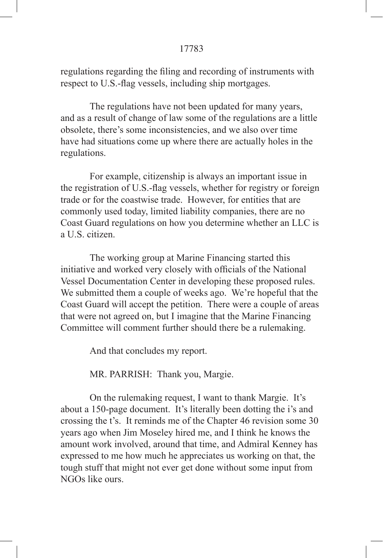regulations regarding the filing and recording of instruments with respect to U.S.-flag vessels, including ship mortgages.

The regulations have not been updated for many years, and as a result of change of law some of the regulations are a little obsolete, there's some inconsistencies, and we also over time have had situations come up where there are actually holes in the regulations.

For example, citizenship is always an important issue in the registration of U.S.-flag vessels, whether for registry or foreign trade or for the coastwise trade. However, for entities that are commonly used today, limited liability companies, there are no Coast Guard regulations on how you determine whether an LLC is a U.S. citizen.

The working group at Marine Financing started this initiative and worked very closely with officials of the National Vessel Documentation Center in developing these proposed rules. We submitted them a couple of weeks ago. We're hopeful that the Coast Guard will accept the petition. There were a couple of areas that were not agreed on, but I imagine that the Marine Financing Committee will comment further should there be a rulemaking.

And that concludes my report.

MR. PARRISH: Thank you, Margie.

On the rulemaking request, I want to thank Margie. It's about a 150-page document. It's literally been dotting the i's and crossing the t's. It reminds me of the Chapter 46 revision some 30 years ago when Jim Moseley hired me, and I think he knows the amount work involved, around that time, and Admiral Kenney has expressed to me how much he appreciates us working on that, the tough stuff that might not ever get done without some input from NGOs like ours.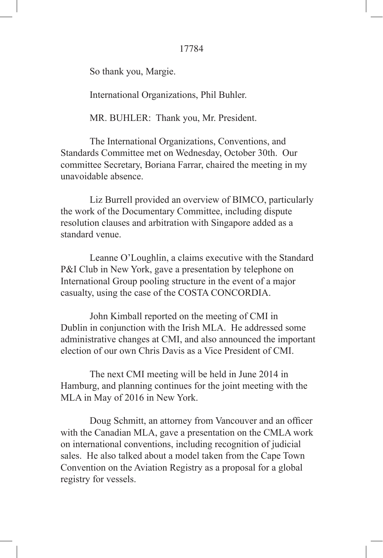So thank you, Margie.

International Organizations, Phil Buhler.

MR. BUHLER: Thank you, Mr. President.

The International Organizations, Conventions, and Standards Committee met on Wednesday, October 30th. Our committee Secretary, Boriana Farrar, chaired the meeting in my unavoidable absence.

Liz Burrell provided an overview of BIMCO, particularly the work of the Documentary Committee, including dispute resolution clauses and arbitration with Singapore added as a standard venue.

Leanne O'Loughlin, a claims executive with the Standard P&I Club in New York, gave a presentation by telephone on International Group pooling structure in the event of a major casualty, using the case of the COSTA CONCORDIA.

John Kimball reported on the meeting of CMI in Dublin in conjunction with the Irish MLA. He addressed some administrative changes at CMI, and also announced the important election of our own Chris Davis as a Vice President of CMI.

The next CMI meeting will be held in June 2014 in Hamburg, and planning continues for the joint meeting with the MLA in May of 2016 in New York.

 Doug Schmitt, an attorney from Vancouver and an officer with the Canadian MLA, gave a presentation on the CMLA work on international conventions, including recognition of judicial sales. He also talked about a model taken from the Cape Town Convention on the Aviation Registry as a proposal for a global registry for vessels.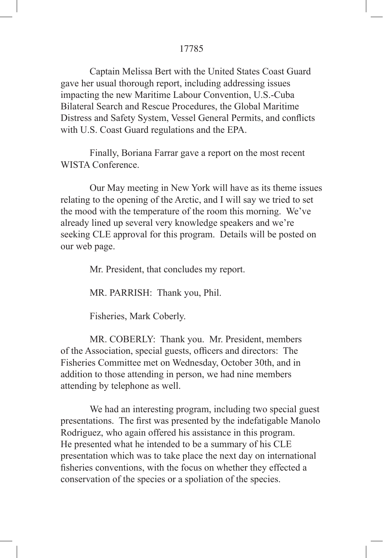Captain Melissa Bert with the United States Coast Guard gave her usual thorough report, including addressing issues impacting the new Maritime Labour Convention, U.S.-Cuba Bilateral Search and Rescue Procedures, the Global Maritime Distress and Safety System, Vessel General Permits, and conflicts with U.S. Coast Guard regulations and the EPA.

Finally, Boriana Farrar gave a report on the most recent WISTA Conference.

Our May meeting in New York will have as its theme issues relating to the opening of the Arctic, and I will say we tried to set the mood with the temperature of the room this morning. We've already lined up several very knowledge speakers and we're seeking CLE approval for this program. Details will be posted on our web page.

Mr. President, that concludes my report.

MR. PARRISH: Thank you, Phil.

Fisheries, Mark Coberly.

MR. COBERLY: Thank you. Mr. President, members of the Association, special guests, officers and directors: The Fisheries Committee met on Wednesday, October 30th, and in addition to those attending in person, we had nine members attending by telephone as well.

We had an interesting program, including two special guest presentations. The first was presented by the indefatigable Manolo Rodriguez, who again offered his assistance in this program. He presented what he intended to be a summary of his CLE presentation which was to take place the next day on international fisheries conventions, with the focus on whether they effected a conservation of the species or a spoliation of the species.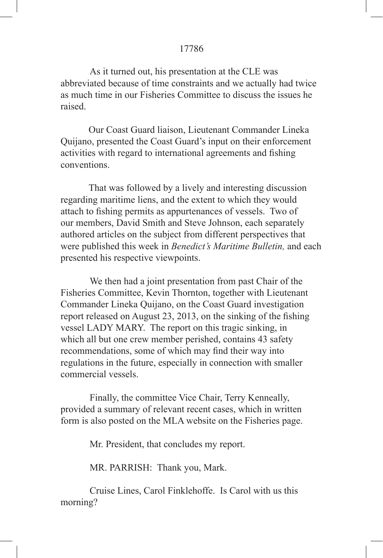As it turned out, his presentation at the CLE was abbreviated because of time constraints and we actually had twice as much time in our Fisheries Committee to discuss the issues he raised.

Our Coast Guard liaison, Lieutenant Commander Lineka Quijano, presented the Coast Guard's input on their enforcement activities with regard to international agreements and fishing conventions.

That was followed by a lively and interesting discussion regarding maritime liens, and the extent to which they would attach to fishing permits as appurtenances of vessels. Two of our members, David Smith and Steve Johnson, each separately authored articles on the subject from different perspectives that were published this week in *Benedict's Maritime Bulletin,* and each presented his respective viewpoints.

We then had a joint presentation from past Chair of the Fisheries Committee, Kevin Thornton, together with Lieutenant Commander Lineka Quijano, on the Coast Guard investigation report released on August 23, 2013, on the sinking of the fishing vessel LADY MARY. The report on this tragic sinking, in which all but one crew member perished, contains 43 safety recommendations, some of which may find their way into regulations in the future, especially in connection with smaller commercial vessels.

Finally, the committee Vice Chair, Terry Kenneally, provided a summary of relevant recent cases, which in written form is also posted on the MLA website on the Fisheries page.

Mr. President, that concludes my report.

MR. PARRISH: Thank you, Mark.

Cruise Lines, Carol Finklehoffe. Is Carol with us this morning?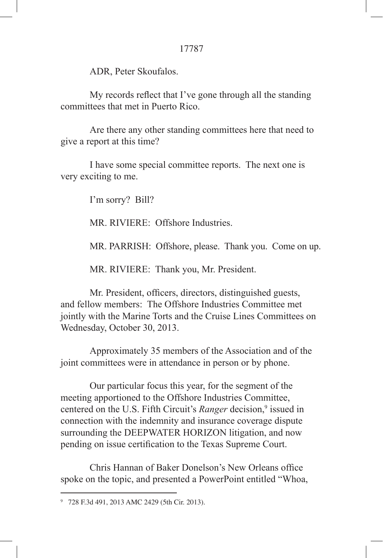ADR, Peter Skoufalos.

 My records reflect that I've gone through all the standing committees that met in Puerto Rico.

Are there any other standing committees here that need to give a report at this time?

I have some special committee reports. The next one is very exciting to me.

I'm sorry? Bill?

MR. RIVIERE: Offshore Industries.

MR. PARRISH: Offshore, please. Thank you. Come on up.

MR. RIVIERE: Thank you, Mr. President.

 Mr. President, officers, directors, distinguished guests, and fellow members: The Offshore Industries Committee met jointly with the Marine Torts and the Cruise Lines Committees on Wednesday, October 30, 2013.

Approximately 35 members of the Association and of the joint committees were in attendance in person or by phone.

Our particular focus this year, for the segment of the meeting apportioned to the Offshore Industries Committee, centered on the U.S. Fifth Circuit's *Ranger* decision,<sup>9</sup> issued in connection with the indemnity and insurance coverage dispute surrounding the DEEPWATER HORIZON litigation, and now pending on issue certification to the Texas Supreme Court.

 Chris Hannan of Baker Donelson's New Orleans office spoke on the topic, and presented a PowerPoint entitled "Whoa,

<sup>9</sup> 728 F.3d 491, 2013 AMC 2429 (5th Cir. 2013).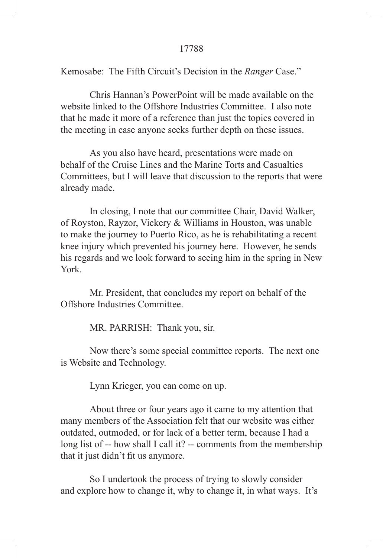Kemosabe: The Fifth Circuit's Decision in the *Ranger* Case."

Chris Hannan's PowerPoint will be made available on the website linked to the Offshore Industries Committee. I also note that he made it more of a reference than just the topics covered in the meeting in case anyone seeks further depth on these issues.

As you also have heard, presentations were made on behalf of the Cruise Lines and the Marine Torts and Casualties Committees, but I will leave that discussion to the reports that were already made.

In closing, I note that our committee Chair, David Walker, of Royston, Rayzor, Vickery & Williams in Houston, was unable to make the journey to Puerto Rico, as he is rehabilitating a recent knee injury which prevented his journey here. However, he sends his regards and we look forward to seeing him in the spring in New York.

Mr. President, that concludes my report on behalf of the Offshore Industries Committee.

MR. PARRISH: Thank you, sir.

Now there's some special committee reports. The next one is Website and Technology.

Lynn Krieger, you can come on up.

About three or four years ago it came to my attention that many members of the Association felt that our website was either outdated, outmoded, or for lack of a better term, because I had a long list of -- how shall I call it? -- comments from the membership that it just didn't fit us anymore.

So I undertook the process of trying to slowly consider and explore how to change it, why to change it, in what ways. It's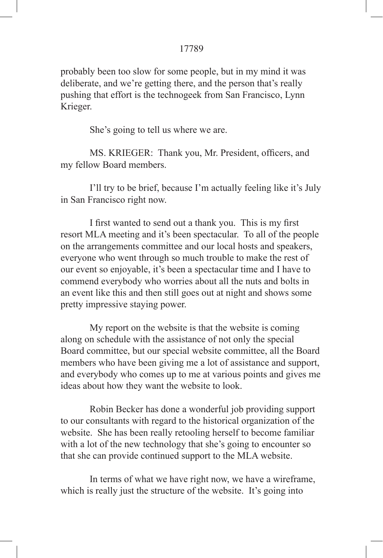probably been too slow for some people, but in my mind it was deliberate, and we're getting there, and the person that's really pushing that effort is the technogeek from San Francisco, Lynn Krieger.

She's going to tell us where we are.

 MS. KRIEGER: Thank you, Mr. President, officers, and my fellow Board members.

I'll try to be brief, because I'm actually feeling like it's July in San Francisco right now.

 I first wanted to send out a thank you. This is my first resort MLA meeting and it's been spectacular. To all of the people on the arrangements committee and our local hosts and speakers, everyone who went through so much trouble to make the rest of our event so enjoyable, it's been a spectacular time and I have to commend everybody who worries about all the nuts and bolts in an event like this and then still goes out at night and shows some pretty impressive staying power.

My report on the website is that the website is coming along on schedule with the assistance of not only the special Board committee, but our special website committee, all the Board members who have been giving me a lot of assistance and support, and everybody who comes up to me at various points and gives me ideas about how they want the website to look.

Robin Becker has done a wonderful job providing support to our consultants with regard to the historical organization of the website. She has been really retooling herself to become familiar with a lot of the new technology that she's going to encounter so that she can provide continued support to the MLA website.

In terms of what we have right now, we have a wireframe, which is really just the structure of the website. It's going into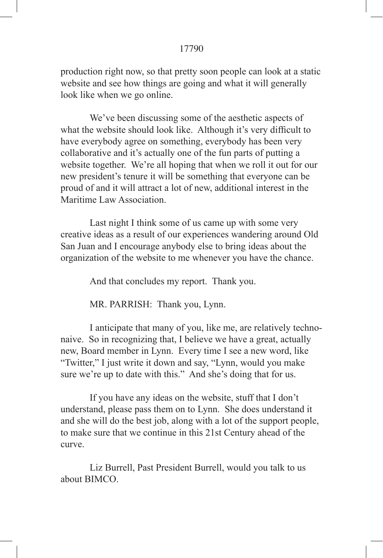production right now, so that pretty soon people can look at a static website and see how things are going and what it will generally look like when we go online.

We've been discussing some of the aesthetic aspects of what the website should look like. Although it's very difficult to have everybody agree on something, everybody has been very collaborative and it's actually one of the fun parts of putting a website together. We're all hoping that when we roll it out for our new president's tenure it will be something that everyone can be proud of and it will attract a lot of new, additional interest in the Maritime Law Association.

Last night I think some of us came up with some very creative ideas as a result of our experiences wandering around Old San Juan and I encourage anybody else to bring ideas about the organization of the website to me whenever you have the chance.

And that concludes my report. Thank you.

MR. PARRISH: Thank you, Lynn.

I anticipate that many of you, like me, are relatively technonaive. So in recognizing that, I believe we have a great, actually new, Board member in Lynn. Every time I see a new word, like "Twitter," I just write it down and say, "Lynn, would you make sure we're up to date with this." And she's doing that for us.

If you have any ideas on the website, stuff that I don't understand, please pass them on to Lynn. She does understand it and she will do the best job, along with a lot of the support people, to make sure that we continue in this 21st Century ahead of the curve.

Liz Burrell, Past President Burrell, would you talk to us about BIMCO.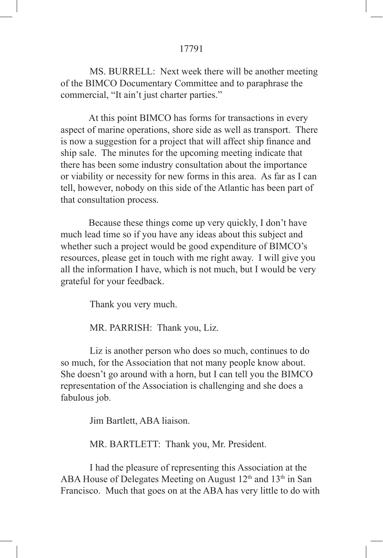MS. BURRELL: Next week there will be another meeting of the BIMCO Documentary Committee and to paraphrase the commercial, "It ain't just charter parties."

At this point BIMCO has forms for transactions in every aspect of marine operations, shore side as well as transport. There is now a suggestion for a project that will affect ship finance and ship sale. The minutes for the upcoming meeting indicate that there has been some industry consultation about the importance or viability or necessity for new forms in this area. As far as I can tell, however, nobody on this side of the Atlantic has been part of that consultation process.

Because these things come up very quickly, I don't have much lead time so if you have any ideas about this subject and whether such a project would be good expenditure of BIMCO's resources, please get in touch with me right away. I will give you all the information I have, which is not much, but I would be very grateful for your feedback.

Thank you very much.

MR. PARRISH: Thank you, Liz.

Liz is another person who does so much, continues to do so much, for the Association that not many people know about. She doesn't go around with a horn, but I can tell you the BIMCO representation of the Association is challenging and she does a fabulous job.

Jim Bartlett, ABA liaison.

MR. BARTLETT: Thank you, Mr. President.

I had the pleasure of representing this Association at the ABA House of Delegates Meeting on August  $12<sup>th</sup>$  and  $13<sup>th</sup>$  in San Francisco. Much that goes on at the ABA has very little to do with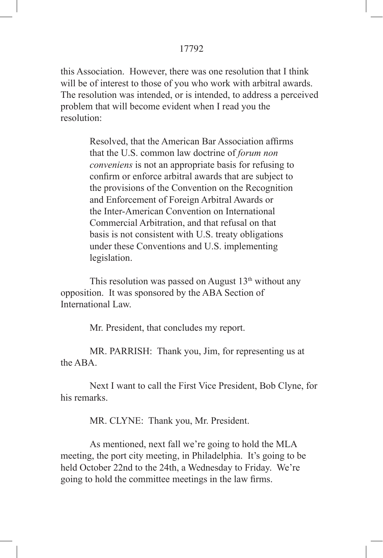this Association. However, there was one resolution that I think will be of interest to those of you who work with arbitral awards. The resolution was intended, or is intended, to address a perceived problem that will become evident when I read you the resolution:

> Resolved, that the American Bar Association affirms that the U.S. common law doctrine of *forum non conveniens* is not an appropriate basis for refusing to confirm or enforce arbitral awards that are subject to the provisions of the Convention on the Recognition and Enforcement of Foreign Arbitral Awards or the Inter-American Convention on International Commercial Arbitration, and that refusal on that basis is not consistent with U.S. treaty obligations under these Conventions and U.S. implementing legislation.

This resolution was passed on August  $13<sup>th</sup>$  without any opposition. It was sponsored by the ABA Section of International Law.

Mr. President, that concludes my report.

MR. PARRISH: Thank you, Jim, for representing us at the ABA.

Next I want to call the First Vice President, Bob Clyne, for his remarks.

MR. CLYNE: Thank you, Mr. President.

As mentioned, next fall we're going to hold the MLA meeting, the port city meeting, in Philadelphia. It's going to be held October 22nd to the 24th, a Wednesday to Friday. We're going to hold the committee meetings in the law firms.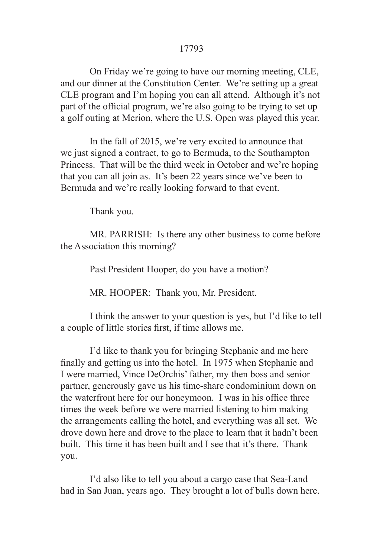On Friday we're going to have our morning meeting, CLE, and our dinner at the Constitution Center. We're setting up a great CLE program and I'm hoping you can all attend. Although it's not part of the official program, we're also going to be trying to set up a golf outing at Merion, where the U.S. Open was played this year.

In the fall of 2015, we're very excited to announce that we just signed a contract, to go to Bermuda, to the Southampton Princess. That will be the third week in October and we're hoping that you can all join as. It's been 22 years since we've been to Bermuda and we're really looking forward to that event.

Thank you.

MR. PARRISH: Is there any other business to come before the Association this morning?

Past President Hooper, do you have a motion?

MR. HOOPER: Thank you, Mr. President.

I think the answer to your question is yes, but I'd like to tell a couple of little stories first, if time allows me.

I'd like to thank you for bringing Stephanie and me here finally and getting us into the hotel. In 1975 when Stephanie and I were married, Vince DeOrchis' father, my then boss and senior partner, generously gave us his time-share condominium down on the waterfront here for our honeymoon. I was in his office three times the week before we were married listening to him making the arrangements calling the hotel, and everything was all set. We drove down here and drove to the place to learn that it hadn't been built. This time it has been built and I see that it's there. Thank you.

I'd also like to tell you about a cargo case that Sea-Land had in San Juan, years ago. They brought a lot of bulls down here.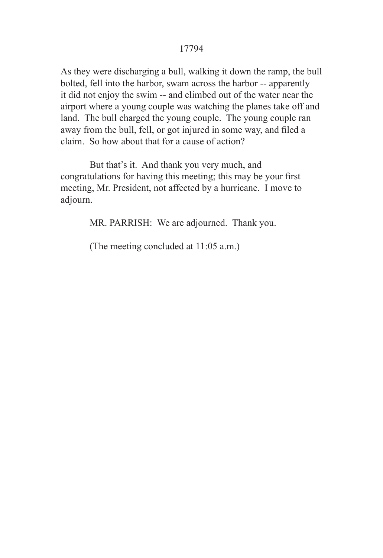As they were discharging a bull, walking it down the ramp, the bull bolted, fell into the harbor, swam across the harbor -- apparently it did not enjoy the swim -- and climbed out of the water near the airport where a young couple was watching the planes take off and land. The bull charged the young couple. The young couple ran away from the bull, fell, or got injured in some way, and filed a claim. So how about that for a cause of action?

But that's it. And thank you very much, and congratulations for having this meeting; this may be your first meeting, Mr. President, not affected by a hurricane. I move to adjourn.

MR. PARRISH: We are adjourned. Thank you.

(The meeting concluded at 11:05 a.m.)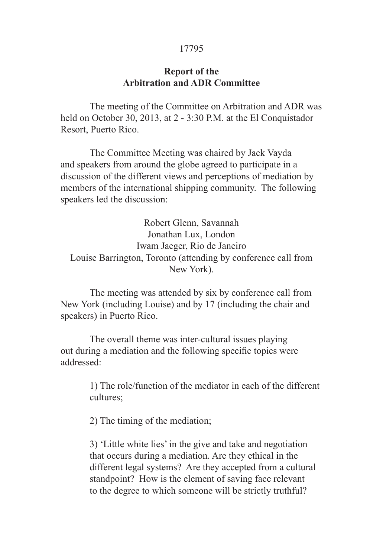# **Report of the Arbitration and ADR Committee**

The meeting of the Committee on Arbitration and ADR was held on October 30, 2013, at 2 - 3:30 P.M. at the El Conquistador Resort, Puerto Rico.

The Committee Meeting was chaired by Jack Vayda and speakers from around the globe agreed to participate in a discussion of the different views and perceptions of mediation by members of the international shipping community. The following speakers led the discussion:

Robert Glenn, Savannah Jonathan Lux, London Iwam Jaeger, Rio de Janeiro Louise Barrington, Toronto (attending by conference call from New York).

The meeting was attended by six by conference call from New York (including Louise) and by 17 (including the chair and speakers) in Puerto Rico.

The overall theme was inter-cultural issues playing out during a mediation and the following specific topics were addressed:

> 1) The role/function of the mediator in each of the different cultures;

2) The timing of the mediation;

3) 'Little white lies' in the give and take and negotiation that occurs during a mediation. Are they ethical in the different legal systems? Are they accepted from a cultural standpoint? How is the element of saving face relevant to the degree to which someone will be strictly truthful?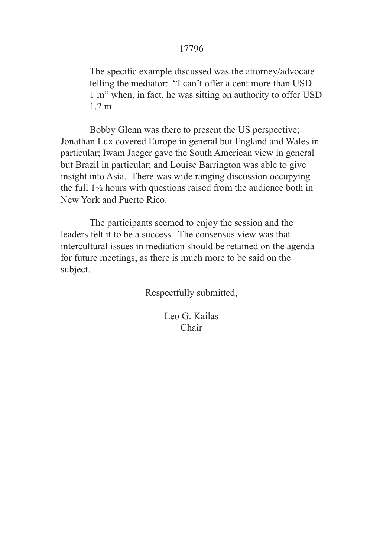The specific example discussed was the attorney/advocate telling the mediator: "I can't offer a cent more than USD 1 m" when, in fact, he was sitting on authority to offer USD 1.2 m.

Bobby Glenn was there to present the US perspective; Jonathan Lux covered Europe in general but England and Wales in particular; Iwam Jaeger gave the South American view in general but Brazil in particular; and Louise Barrington was able to give insight into Asia. There was wide ranging discussion occupying the full 1½ hours with questions raised from the audience both in New York and Puerto Rico.

The participants seemed to enjoy the session and the leaders felt it to be a success. The consensus view was that intercultural issues in mediation should be retained on the agenda for future meetings, as there is much more to be said on the subject.

Respectfully submitted,

Leo G. Kailas Chair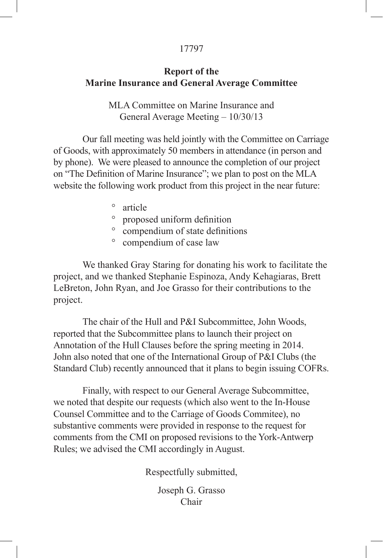# **Report of the Marine Insurance and General Average Committee**

MLA Committee on Marine Insurance and General Average Meeting – 10/30/13

Our fall meeting was held jointly with the Committee on Carriage of Goods, with approximately 50 members in attendance (in person and by phone). We were pleased to announce the completion of our project on "The Definition of Marine Insurance"; we plan to post on the MLA website the following work product from this project in the near future:

- ° article
- ° proposed uniform definition
- ° compendium of state definitions
- ° compendium of case law

We thanked Gray Staring for donating his work to facilitate the project, and we thanked Stephanie Espinoza, Andy Kehagiaras, Brett LeBreton, John Ryan, and Joe Grasso for their contributions to the project.

The chair of the Hull and P&I Subcommittee, John Woods, reported that the Subcommittee plans to launch their project on Annotation of the Hull Clauses before the spring meeting in 2014. John also noted that one of the International Group of P&I Clubs (the Standard Club) recently announced that it plans to begin issuing COFRs.

Finally, with respect to our General Average Subcommittee, we noted that despite our requests (which also went to the In-House Counsel Committee and to the Carriage of Goods Commitee), no substantive comments were provided in response to the request for comments from the CMI on proposed revisions to the York-Antwerp Rules; we advised the CMI accordingly in August.

Respectfully submitted,

Joseph G. Grasso Chair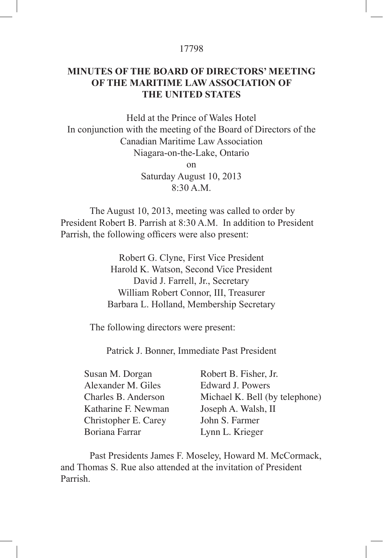# **MINUTES OF THE BOARD OF DIRECTORS' MEETING OF THE MARITIME LAW ASSOCIATION OF THE UNITED STATES**

Held at the Prince of Wales Hotel In conjunction with the meeting of the Board of Directors of the Canadian Maritime Law Association Niagara-on-the-Lake, Ontario on Saturday August 10, 2013  $8.30$  A.M.

The August 10, 2013, meeting was called to order by President Robert B. Parrish at 8:30 A.M. In addition to President Parrish, the following officers were also present:

> Robert G. Clyne, First Vice President Harold K. Watson, Second Vice President David J. Farrell, Jr., Secretary William Robert Connor, III, Treasurer Barbara L. Holland, Membership Secretary

The following directors were present:

Patrick J. Bonner, Immediate Past President

| Robert B. Fisher, Jr.          |
|--------------------------------|
| Edward J. Powers               |
| Michael K. Bell (by telephone) |
| Joseph A. Walsh, II            |
| John S. Farmer                 |
| Lynn L. Krieger                |
|                                |

Past Presidents James F. Moseley, Howard M. McCormack, and Thomas S. Rue also attended at the invitation of President Parrish.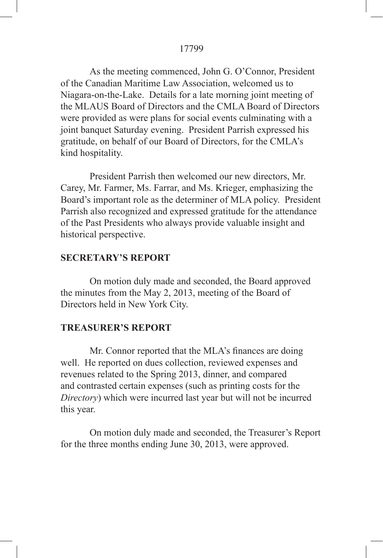As the meeting commenced, John G. O'Connor, President of the Canadian Maritime Law Association, welcomed us to Niagara-on-the-Lake. Details for a late morning joint meeting of the MLAUS Board of Directors and the CMLA Board of Directors were provided as were plans for social events culminating with a joint banquet Saturday evening. President Parrish expressed his gratitude, on behalf of our Board of Directors, for the CMLA's kind hospitality.

President Parrish then welcomed our new directors, Mr. Carey, Mr. Farmer, Ms. Farrar, and Ms. Krieger, emphasizing the Board's important role as the determiner of MLA policy. President Parrish also recognized and expressed gratitude for the attendance of the Past Presidents who always provide valuable insight and historical perspective.

# **SECRETARY'S REPORT**

On motion duly made and seconded, the Board approved the minutes from the May 2, 2013, meeting of the Board of Directors held in New York City.

# **TREASURER'S REPORT**

 Mr. Connor reported that the MLA's finances are doing well. He reported on dues collection, reviewed expenses and revenues related to the Spring 2013, dinner, and compared and contrasted certain expenses (such as printing costs for the *Directory*) which were incurred last year but will not be incurred this year.

On motion duly made and seconded, the Treasurer's Report for the three months ending June 30, 2013, were approved.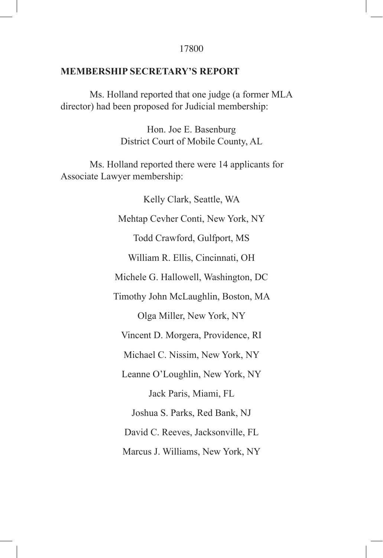## **MEMBERSHIP SECRETARY'S REPORT**

Ms. Holland reported that one judge (a former MLA director) had been proposed for Judicial membership:

> Hon. Joe E. Basenburg District Court of Mobile County, AL

Ms. Holland reported there were 14 applicants for Associate Lawyer membership:

> Kelly Clark, Seattle, WA Mehtap Cevher Conti, New York, NY Todd Crawford, Gulfport, MS William R. Ellis, Cincinnati, OH Michele G. Hallowell, Washington, DC Timothy John McLaughlin, Boston, MA Olga Miller, New York, NY Vincent D. Morgera, Providence, RI Michael C. Nissim, New York, NY Leanne O'Loughlin, New York, NY Jack Paris, Miami, FL Joshua S. Parks, Red Bank, NJ David C. Reeves, Jacksonville, FL Marcus J. Williams, New York, NY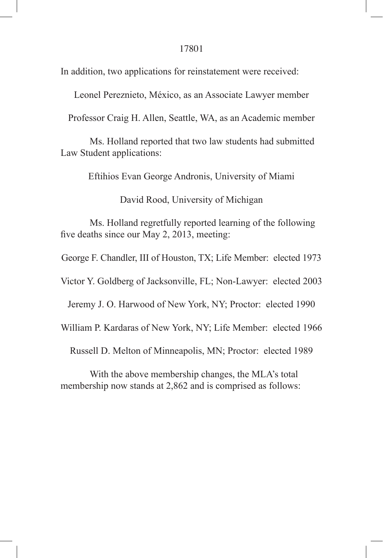In addition, two applications for reinstatement were received:

Leonel Pereznieto, México, as an Associate Lawyer member

Professor Craig H. Allen, Seattle, WA, as an Academic member

Ms. Holland reported that two law students had submitted Law Student applications:

Eftihios Evan George Andronis, University of Miami

David Rood, University of Michigan

Ms. Holland regretfully reported learning of the following five deaths since our May 2, 2013, meeting:

George F. Chandler, III of Houston, TX; Life Member: elected 1973

Victor Y. Goldberg of Jacksonville, FL; Non-Lawyer: elected 2003

Jeremy J. O. Harwood of New York, NY; Proctor: elected 1990

William P. Kardaras of New York, NY; Life Member: elected 1966

Russell D. Melton of Minneapolis, MN; Proctor: elected 1989

With the above membership changes, the MLA's total membership now stands at 2,862 and is comprised as follows: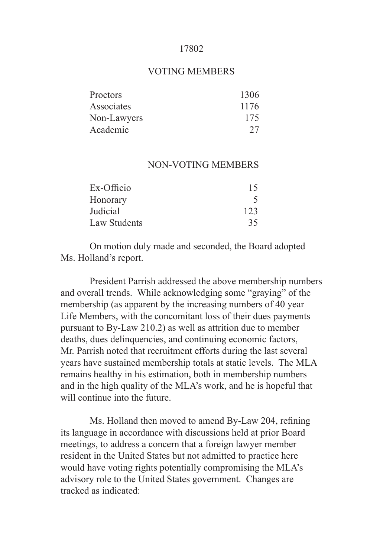#### VOTING MEMBERS

| 1306 |
|------|
| 1176 |
| 175  |
| 27   |
|      |

## NON-VOTING MEMBERS

| 15  |
|-----|
|     |
| 123 |
| 35  |
|     |

On motion duly made and seconded, the Board adopted Ms. Holland's report.

President Parrish addressed the above membership numbers and overall trends. While acknowledging some "graying" of the membership (as apparent by the increasing numbers of 40 year Life Members, with the concomitant loss of their dues payments pursuant to By-Law 210.2) as well as attrition due to member deaths, dues delinquencies, and continuing economic factors, Mr. Parrish noted that recruitment efforts during the last several years have sustained membership totals at static levels. The MLA remains healthy in his estimation, both in membership numbers and in the high quality of the MLA's work, and he is hopeful that will continue into the future.

Ms. Holland then moved to amend By-Law 204, refining its language in accordance with discussions held at prior Board meetings, to address a concern that a foreign lawyer member resident in the United States but not admitted to practice here would have voting rights potentially compromising the MLA's advisory role to the United States government. Changes are tracked as indicated: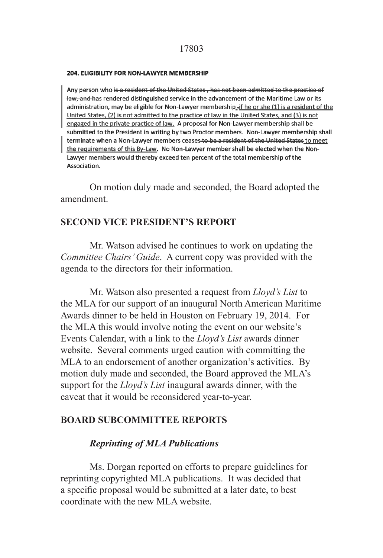#### **204. ELIGIBILITY FOR NON-LAWYER MEMBERSHIP**

Any person who is a resident of the United States, has not been admitted to the practice of law, and has rendered distinguished service in the advancement of the Maritime Law or its administration, may be eligible for Non-Lawyer membership-if he or she (1) is a resident of the United States, (2) is not admitted to the practice of law in the United States, and (3) is not engaged in the private practice of law. A proposal for Non-Lawyer membership shall be submitted to the President in writing by two Proctor members. Non-Lawyer membership shall terminate when a Non-Lawyer members ceases to be a resident of the United States to meet the requirements of this By-Law. No Non-Lawyer member shall be elected when the Non-Lawyer members would thereby exceed ten percent of the total membership of the Association.

On motion duly made and seconded, the Board adopted the amendment.

# **SECOND VICE PRESIDENT'S REPORT**

Mr. Watson advised he continues to work on updating the *Committee Chairs' Guide*. A current copy was provided with the agenda to the directors for their information.

Mr. Watson also presented a request from *Lloyd's List* to the MLA for our support of an inaugural North American Maritime Awards dinner to be held in Houston on February 19, 2014. For the MLA this would involve noting the event on our website's Events Calendar, with a link to the *Lloyd's List* awards dinner website. Several comments urged caution with committing the MLA to an endorsement of another organization's activities. By motion duly made and seconded, the Board approved the MLA's support for the *Lloyd's List* inaugural awards dinner, with the caveat that it would be reconsidered year-to-year.

# **BOARD SUBCOMMITTEE REPORTS**

# *Reprinting of MLA Publications*

Ms. Dorgan reported on efforts to prepare guidelines for reprinting copyrighted MLA publications. It was decided that a specific proposal would be submitted at a later date, to best coordinate with the new MLA website.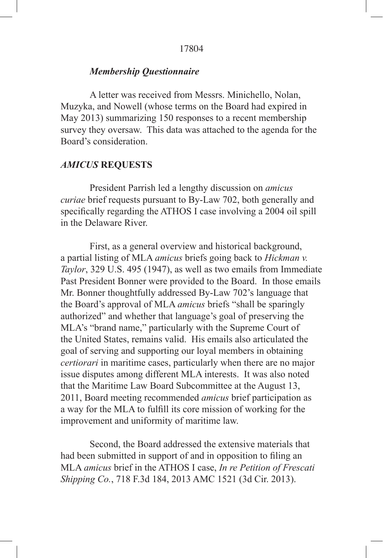## *Membership Questionnaire*

A letter was received from Messrs. Minichello, Nolan, Muzyka, and Nowell (whose terms on the Board had expired in May 2013) summarizing 150 responses to a recent membership survey they oversaw. This data was attached to the agenda for the Board's consideration.

# *AMICUS* **REQUESTS**

President Parrish led a lengthy discussion on *amicus curiae* brief requests pursuant to By-Law 702, both generally and specifically regarding the ATHOS I case involving a 2004 oil spill in the Delaware River.

First, as a general overview and historical background, a partial listing of MLA *amicus* briefs going back to *Hickman v. Taylor*, 329 U.S. 495 (1947), as well as two emails from Immediate Past President Bonner were provided to the Board. In those emails Mr. Bonner thoughtfully addressed By-Law 702's language that the Board's approval of MLA *amicus* briefs "shall be sparingly authorized" and whether that language's goal of preserving the MLA's "brand name," particularly with the Supreme Court of the United States, remains valid. His emails also articulated the goal of serving and supporting our loyal members in obtaining *certiorari* in maritime cases, particularly when there are no major issue disputes among different MLA interests. It was also noted that the Maritime Law Board Subcommittee at the August 13, 2011, Board meeting recommended *amicus* brief participation as a way for the MLA to fulfill its core mission of working for the improvement and uniformity of maritime law.

Second, the Board addressed the extensive materials that had been submitted in support of and in opposition to filing an MLA *amicus* brief in the ATHOS I case, *In re Petition of Frescati Shipping Co.*, 718 F.3d 184, 2013 AMC 1521 (3d Cir. 2013).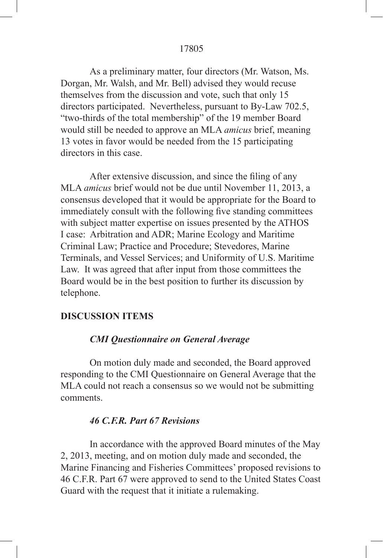As a preliminary matter, four directors (Mr. Watson, Ms. Dorgan, Mr. Walsh, and Mr. Bell) advised they would recuse themselves from the discussion and vote, such that only 15 directors participated. Nevertheless, pursuant to By-Law 702.5, "two-thirds of the total membership" of the 19 member Board would still be needed to approve an MLA *amicus* brief, meaning 13 votes in favor would be needed from the 15 participating directors in this case.

 After extensive discussion, and since the filing of any MLA *amicus* brief would not be due until November 11, 2013, a consensus developed that it would be appropriate for the Board to immediately consult with the following five standing committees with subject matter expertise on issues presented by the ATHOS I case: Arbitration and ADR; Marine Ecology and Maritime Criminal Law; Practice and Procedure; Stevedores, Marine Terminals, and Vessel Services; and Uniformity of U.S. Maritime Law. It was agreed that after input from those committees the Board would be in the best position to further its discussion by telephone.

# **DISCUSSION ITEMS**

# *CMI Questionnaire on General Average*

On motion duly made and seconded, the Board approved responding to the CMI Questionnaire on General Average that the MLA could not reach a consensus so we would not be submitting comments.

# *46 C.F.R. Part 67 Revisions*

In accordance with the approved Board minutes of the May 2, 2013, meeting, and on motion duly made and seconded, the Marine Financing and Fisheries Committees' proposed revisions to 46 C.F.R. Part 67 were approved to send to the United States Coast Guard with the request that it initiate a rulemaking.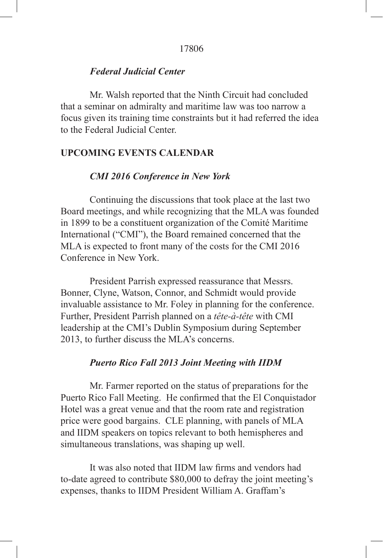# *Federal Judicial Center*

Mr. Walsh reported that the Ninth Circuit had concluded that a seminar on admiralty and maritime law was too narrow a focus given its training time constraints but it had referred the idea to the Federal Judicial Center.

# **UPCOMING EVENTS CALENDAR**

#### *CMI 2016 Conference in New York*

Continuing the discussions that took place at the last two Board meetings, and while recognizing that the MLA was founded in 1899 to be a constituent organization of the Comité Maritime International ("CMI"), the Board remained concerned that the MLA is expected to front many of the costs for the CMI 2016 Conference in New York.

President Parrish expressed reassurance that Messrs. Bonner, Clyne, Watson, Connor, and Schmidt would provide invaluable assistance to Mr. Foley in planning for the conference. Further, President Parrish planned on a *tête-à-tête* with CMI leadership at the CMI's Dublin Symposium during September 2013, to further discuss the MLA's concerns.

### *Puerto Rico Fall 2013 Joint Meeting with IIDM*

Mr. Farmer reported on the status of preparations for the Puerto Rico Fall Meeting. He confirmed that the El Conquistador Hotel was a great venue and that the room rate and registration price were good bargains. CLE planning, with panels of MLA and IIDM speakers on topics relevant to both hemispheres and simultaneous translations, was shaping up well.

 It was also noted that IIDM law firms and vendors had to-date agreed to contribute \$80,000 to defray the joint meeting's expenses, thanks to IIDM President William A. Graffam's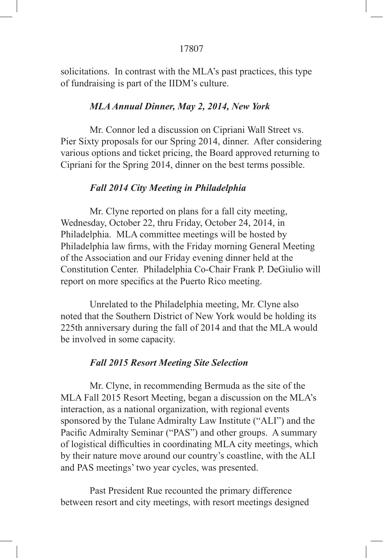solicitations. In contrast with the MLA's past practices, this type of fundraising is part of the IIDM's culture.

# *MLA Annual Dinner, May 2, 2014, New York*

Mr. Connor led a discussion on Cipriani Wall Street vs. Pier Sixty proposals for our Spring 2014, dinner. After considering various options and ticket pricing, the Board approved returning to Cipriani for the Spring 2014, dinner on the best terms possible.

# *Fall 2014 City Meeting in Philadelphia*

Mr. Clyne reported on plans for a fall city meeting, Wednesday, October 22, thru Friday, October 24, 2014, in Philadelphia. MLA committee meetings will be hosted by Philadelphia law firms, with the Friday morning General Meeting of the Association and our Friday evening dinner held at the Constitution Center. Philadelphia Co-Chair Frank P. DeGiulio will report on more specifics at the Puerto Rico meeting.

Unrelated to the Philadelphia meeting, Mr. Clyne also noted that the Southern District of New York would be holding its 225th anniversary during the fall of 2014 and that the MLA would be involved in some capacity.

# *Fall 2015 Resort Meeting Site Selection*

Mr. Clyne, in recommending Bermuda as the site of the MLA Fall 2015 Resort Meeting, began a discussion on the MLA's interaction, as a national organization, with regional events sponsored by the Tulane Admiralty Law Institute ("ALI") and the Pacific Admiralty Seminar ("PAS") and other groups. A summary of logistical difficulties in coordinating MLA city meetings, which by their nature move around our country's coastline, with the ALI and PAS meetings' two year cycles, was presented.

Past President Rue recounted the primary difference between resort and city meetings, with resort meetings designed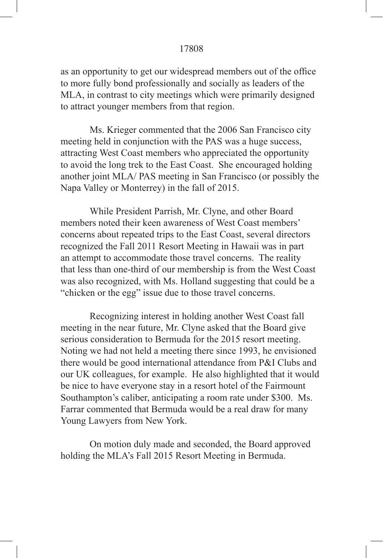as an opportunity to get our widespread members out of the office to more fully bond professionally and socially as leaders of the MLA, in contrast to city meetings which were primarily designed to attract younger members from that region.

Ms. Krieger commented that the 2006 San Francisco city meeting held in conjunction with the PAS was a huge success, attracting West Coast members who appreciated the opportunity to avoid the long trek to the East Coast. She encouraged holding another joint MLA/ PAS meeting in San Francisco (or possibly the Napa Valley or Monterrey) in the fall of 2015.

While President Parrish, Mr. Clyne, and other Board members noted their keen awareness of West Coast members' concerns about repeated trips to the East Coast, several directors recognized the Fall 2011 Resort Meeting in Hawaii was in part an attempt to accommodate those travel concerns. The reality that less than one-third of our membership is from the West Coast was also recognized, with Ms. Holland suggesting that could be a "chicken or the egg" issue due to those travel concerns.

Recognizing interest in holding another West Coast fall meeting in the near future, Mr. Clyne asked that the Board give serious consideration to Bermuda for the 2015 resort meeting. Noting we had not held a meeting there since 1993, he envisioned there would be good international attendance from P&I Clubs and our UK colleagues, for example. He also highlighted that it would be nice to have everyone stay in a resort hotel of the Fairmount Southampton's caliber, anticipating a room rate under \$300. Ms. Farrar commented that Bermuda would be a real draw for many Young Lawyers from New York.

On motion duly made and seconded, the Board approved holding the MLA's Fall 2015 Resort Meeting in Bermuda.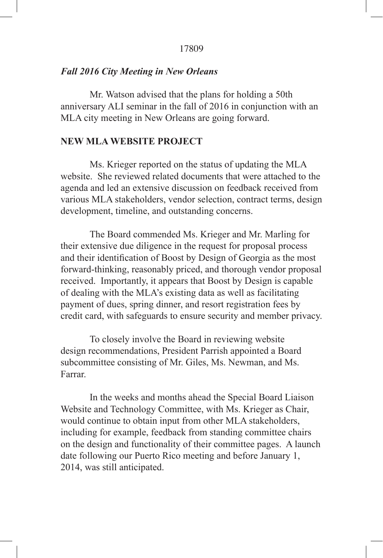# *Fall 2016 City Meeting in New Orleans*

Mr. Watson advised that the plans for holding a 50th anniversary ALI seminar in the fall of 2016 in conjunction with an MLA city meeting in New Orleans are going forward.

# **NEW MLA WEBSITE PROJECT**

Ms. Krieger reported on the status of updating the MLA website. She reviewed related documents that were attached to the agenda and led an extensive discussion on feedback received from various MLA stakeholders, vendor selection, contract terms, design development, timeline, and outstanding concerns.

The Board commended Ms. Krieger and Mr. Marling for their extensive due diligence in the request for proposal process and their identification of Boost by Design of Georgia as the most forward-thinking, reasonably priced, and thorough vendor proposal received. Importantly, it appears that Boost by Design is capable of dealing with the MLA's existing data as well as facilitating payment of dues, spring dinner, and resort registration fees by credit card, with safeguards to ensure security and member privacy.

To closely involve the Board in reviewing website design recommendations, President Parrish appointed a Board subcommittee consisting of Mr. Giles, Ms. Newman, and Ms. Farrar.

In the weeks and months ahead the Special Board Liaison Website and Technology Committee, with Ms. Krieger as Chair, would continue to obtain input from other MLA stakeholders, including for example, feedback from standing committee chairs on the design and functionality of their committee pages. A launch date following our Puerto Rico meeting and before January 1, 2014, was still anticipated.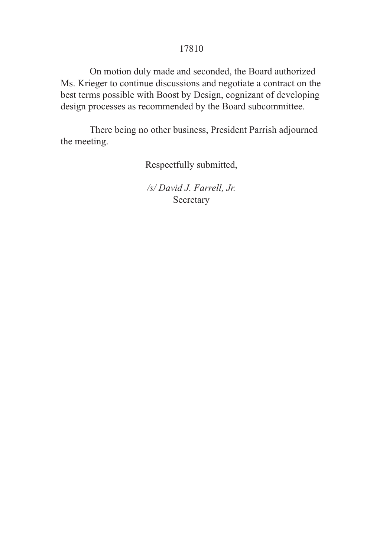On motion duly made and seconded, the Board authorized Ms. Krieger to continue discussions and negotiate a contract on the best terms possible with Boost by Design, cognizant of developing design processes as recommended by the Board subcommittee.

There being no other business, President Parrish adjourned the meeting.

Respectfully submitted,

*/s/ David J. Farrell, Jr.* Secretary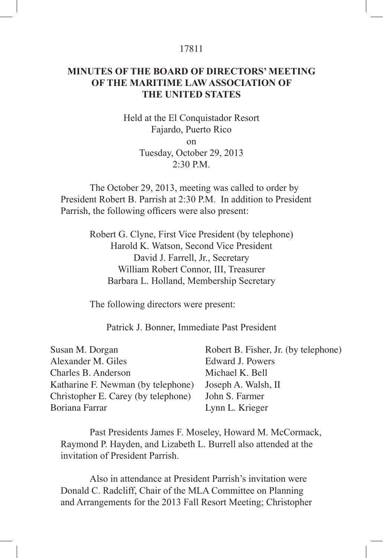# **MINUTES OF THE BOARD OF DIRECTORS' MEETING OF THE MARITIME LAW ASSOCIATION OF THE UNITED STATES**

Held at the El Conquistador Resort Fajardo, Puerto Rico on Tuesday, October 29, 2013  $2.30$  PM

The October 29, 2013, meeting was called to order by President Robert B. Parrish at 2:30 P.M. In addition to President Parrish, the following officers were also present:

> Robert G. Clyne, First Vice President (by telephone) Harold K. Watson, Second Vice President David J. Farrell, Jr., Secretary William Robert Connor, III, Treasurer Barbara L. Holland, Membership Secretary

The following directors were present:

Patrick J. Bonner, Immediate Past President

Past Presidents James F. Moseley, Howard M. McCormack, Raymond P. Hayden, and Lizabeth L. Burrell also attended at the invitation of President Parrish.

Also in attendance at President Parrish's invitation were Donald C. Radcliff, Chair of the MLA Committee on Planning and Arrangements for the 2013 Fall Resort Meeting; Christopher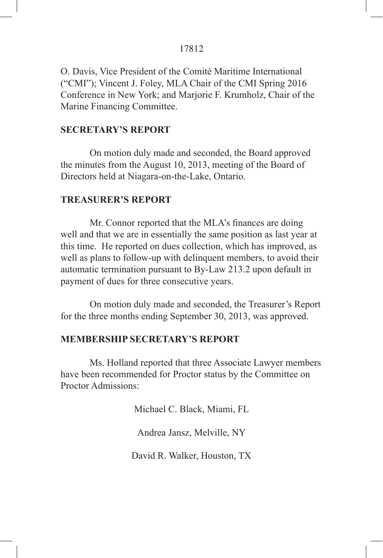O. Davis, Vice President of the Comité Maritime International ("CMI"); Vincent J. Foley, MLA Chair of the CMI Spring 2016 Conference in New York; and Marjorie F. Krumholz, Chair of the Marine Financing Committee.

# **SECRETARY'S REPORT**

On motion duly made and seconded, the Board approved the minutes from the August 10, 2013, meeting of the Board of Directors held at Niagara-on-the-Lake, Ontario.

# **TREASURER'S REPORT**

 Mr. Connor reported that the MLA's finances are doing well and that we are in essentially the same position as last year at this time. He reported on dues collection, which has improved, as well as plans to follow-up with delinquent members, to avoid their automatic termination pursuant to By-Law 213.2 upon default in payment of dues for three consecutive years.

On motion duly made and seconded, the Treasurer's Report for the three months ending September 30, 2013, was approved.

# **MEMBERSHIP SECRETARY'S REPORT**

Ms. Holland reported that three Associate Lawyer members have been recommended for Proctor status by the Committee on Proctor Admissions:

Michael C. Black, Miami, FL

Andrea Jansz, Melville, NY

David R. Walker, Houston, TX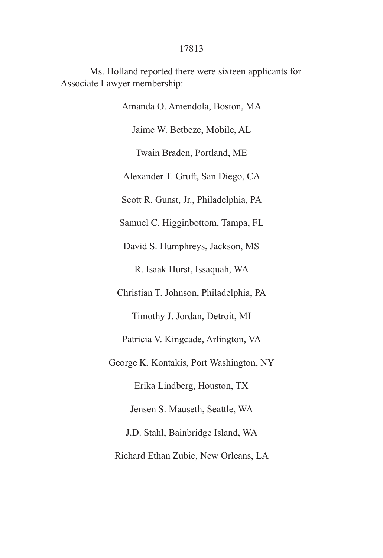Ms. Holland reported there were sixteen applicants for Associate Lawyer membership:

> Amanda O. Amendola, Boston, MA Jaime W. Betbeze, Mobile, AL Twain Braden, Portland, ME Alexander T. Gruft, San Diego, CA Scott R. Gunst, Jr., Philadelphia, PA Samuel C. Higginbottom, Tampa, FL David S. Humphreys, Jackson, MS R. Isaak Hurst, Issaquah, WA Christian T. Johnson, Philadelphia, PA Timothy J. Jordan, Detroit, MI Patricia V. Kingcade, Arlington, VA George K. Kontakis, Port Washington, NY Erika Lindberg, Houston, TX Jensen S. Mauseth, Seattle, WA J.D. Stahl, Bainbridge Island, WA Richard Ethan Zubic, New Orleans, LA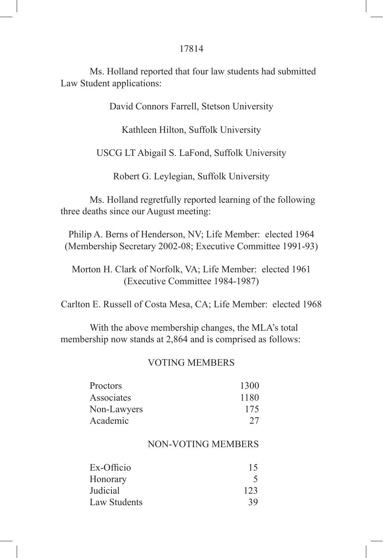Ms. Holland reported that four law students had submitted Law Student applications:

David Connors Farrell, Stetson University

Kathleen Hilton, Suffolk University

USCG LT Abigail S. LaFond, Suffolk University

Robert G. Leylegian, Suffolk University

Ms. Holland regretfully reported learning of the following three deaths since our August meeting:

Philip A. Berns of Henderson, NV; Life Member: elected 1964 (Membership Secretary 2002-08; Executive Committee 1991-93)

Morton H. Clark of Norfolk, VA; Life Member: elected 1961 (Executive Committee 1984-1987)

Carlton E. Russell of Costa Mesa, CA; Life Member: elected 1968

With the above membership changes, the MLA's total membership now stands at 2,864 and is comprised as follows:

#### VOTING MEMBERS

| Proctors    | 1300 |
|-------------|------|
| Associates  | 1180 |
| Non-Lawyers | 175  |
| Academic    | 27   |

### NON-VOTING MEMBERS

| Ex-Officio   | 15  |
|--------------|-----|
| Honorary     |     |
| Judicial     | 123 |
| Law Students | 39  |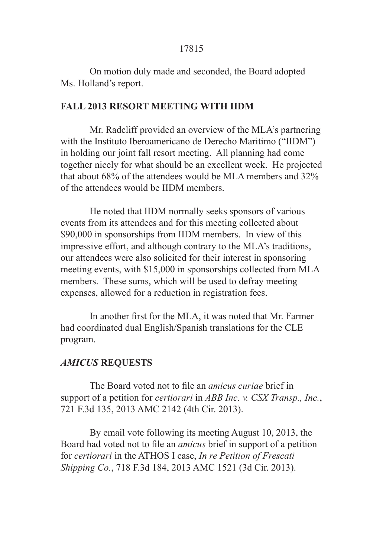On motion duly made and seconded, the Board adopted Ms. Holland's report.

### **FALL 2013 RESORT MEETING WITH IIDM**

Mr. Radcliff provided an overview of the MLA's partnering with the Instituto Iberoamericano de Derecho Maritimo ("IIDM") in holding our joint fall resort meeting. All planning had come together nicely for what should be an excellent week. He projected that about 68% of the attendees would be MLA members and 32% of the attendees would be IIDM members.

He noted that IIDM normally seeks sponsors of various events from its attendees and for this meeting collected about \$90,000 in sponsorships from IIDM members. In view of this impressive effort, and although contrary to the MLA's traditions, our attendees were also solicited for their interest in sponsoring meeting events, with \$15,000 in sponsorships collected from MLA members. These sums, which will be used to defray meeting expenses, allowed for a reduction in registration fees.

 In another first for the MLA, it was noted that Mr. Farmer had coordinated dual English/Spanish translations for the CLE program.

#### *AMICUS* **REQUESTS**

 The Board voted not to file an *amicus curiae* brief in support of a petition for *certiorari* in *ABB Inc. v. CSX Transp., Inc.*, 721 F.3d 135, 2013 AMC 2142 (4th Cir. 2013).

By email vote following its meeting August 10, 2013, the Board had voted not to file an *amicus* brief in support of a petition for *certiorari* in the ATHOS I case, *In re Petition of Frescati Shipping Co.*, 718 F.3d 184, 2013 AMC 1521 (3d Cir. 2013).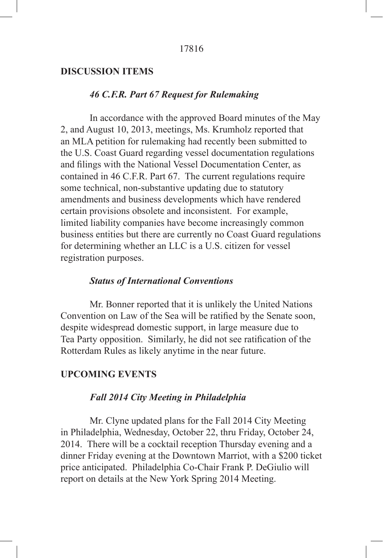### **DISCUSSION ITEMS**

# *46 C.F.R. Part 67 Request for Rulemaking*

In accordance with the approved Board minutes of the May 2, and August 10, 2013, meetings, Ms. Krumholz reported that an MLA petition for rulemaking had recently been submitted to the U.S. Coast Guard regarding vessel documentation regulations and filings with the National Vessel Documentation Center, as contained in 46 C.F.R. Part 67. The current regulations require some technical, non-substantive updating due to statutory amendments and business developments which have rendered certain provisions obsolete and inconsistent. For example, limited liability companies have become increasingly common business entities but there are currently no Coast Guard regulations for determining whether an LLC is a U.S. citizen for vessel registration purposes.

# *Status of International Conventions*

Mr. Bonner reported that it is unlikely the United Nations Convention on Law of the Sea will be ratified by the Senate soon, despite widespread domestic support, in large measure due to Tea Party opposition. Similarly, he did not see ratification of the Rotterdam Rules as likely anytime in the near future.

#### **UPCOMING EVENTS**

# *Fall 2014 City Meeting in Philadelphia*

Mr. Clyne updated plans for the Fall 2014 City Meeting in Philadelphia, Wednesday, October 22, thru Friday, October 24, 2014. There will be a cocktail reception Thursday evening and a dinner Friday evening at the Downtown Marriot, with a \$200 ticket price anticipated. Philadelphia Co-Chair Frank P. DeGiulio will report on details at the New York Spring 2014 Meeting.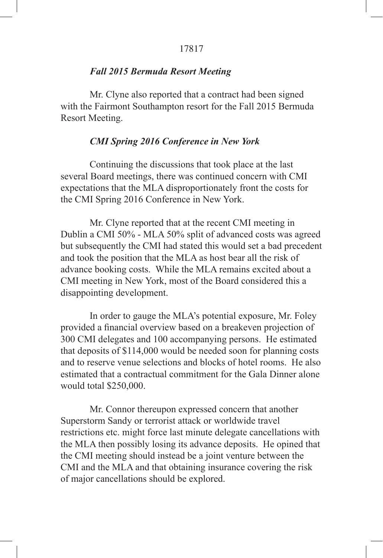### *Fall 2015 Bermuda Resort Meeting*

Mr. Clyne also reported that a contract had been signed with the Fairmont Southampton resort for the Fall 2015 Bermuda Resort Meeting.

# *CMI Spring 2016 Conference in New York*

Continuing the discussions that took place at the last several Board meetings, there was continued concern with CMI expectations that the MLA disproportionately front the costs for the CMI Spring 2016 Conference in New York.

Mr. Clyne reported that at the recent CMI meeting in Dublin a CMI 50% - MLA 50% split of advanced costs was agreed but subsequently the CMI had stated this would set a bad precedent and took the position that the MLA as host bear all the risk of advance booking costs. While the MLA remains excited about a CMI meeting in New York, most of the Board considered this a disappointing development.

In order to gauge the MLA's potential exposure, Mr. Foley provided a financial overview based on a breakeven projection of 300 CMI delegates and 100 accompanying persons. He estimated that deposits of \$114,000 would be needed soon for planning costs and to reserve venue selections and blocks of hotel rooms. He also estimated that a contractual commitment for the Gala Dinner alone would total \$250,000.

Mr. Connor thereupon expressed concern that another Superstorm Sandy or terrorist attack or worldwide travel restrictions etc. might force last minute delegate cancellations with the MLA then possibly losing its advance deposits. He opined that the CMI meeting should instead be a joint venture between the CMI and the MLA and that obtaining insurance covering the risk of major cancellations should be explored.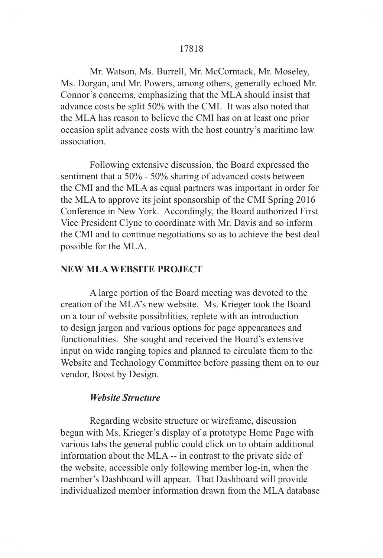Mr. Watson, Ms. Burrell, Mr. McCormack, Mr. Moseley, Ms. Dorgan, and Mr. Powers, among others, generally echoed Mr. Connor's concerns, emphasizing that the MLA should insist that advance costs be split 50% with the CMI. It was also noted that the MLA has reason to believe the CMI has on at least one prior occasion split advance costs with the host country's maritime law association.

Following extensive discussion, the Board expressed the sentiment that a 50% - 50% sharing of advanced costs between the CMI and the MLA as equal partners was important in order for the MLA to approve its joint sponsorship of the CMI Spring 2016 Conference in New York. Accordingly, the Board authorized First Vice President Clyne to coordinate with Mr. Davis and so inform the CMI and to continue negotiations so as to achieve the best deal possible for the MLA.

#### **NEW MLA WEBSITE PROJECT**

A large portion of the Board meeting was devoted to the creation of the MLA's new website. Ms. Krieger took the Board on a tour of website possibilities, replete with an introduction to design jargon and various options for page appearances and functionalities. She sought and received the Board's extensive input on wide ranging topics and planned to circulate them to the Website and Technology Committee before passing them on to our vendor, Boost by Design.

#### *Website Structure*

Regarding website structure or wireframe, discussion began with Ms. Krieger's display of a prototype Home Page with various tabs the general public could click on to obtain additional information about the MLA -- in contrast to the private side of the website, accessible only following member log-in, when the member's Dashboard will appear. That Dashboard will provide individualized member information drawn from the MLA database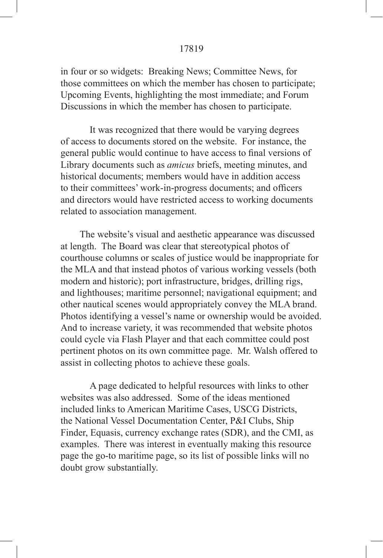in four or so widgets: Breaking News; Committee News, for those committees on which the member has chosen to participate; Upcoming Events, highlighting the most immediate; and Forum Discussions in which the member has chosen to participate.

It was recognized that there would be varying degrees of access to documents stored on the website. For instance, the general public would continue to have access to final versions of Library documents such as *amicus* briefs, meeting minutes, and historical documents; members would have in addition access to their committees' work-in-progress documents; and officers and directors would have restricted access to working documents related to association management.

 The website's visual and aesthetic appearance was discussed at length. The Board was clear that stereotypical photos of courthouse columns or scales of justice would be inappropriate for the MLA and that instead photos of various working vessels (both modern and historic); port infrastructure, bridges, drilling rigs, and lighthouses; maritime personnel; navigational equipment; and other nautical scenes would appropriately convey the MLA brand. Photos identifying a vessel's name or ownership would be avoided. And to increase variety, it was recommended that website photos could cycle via Flash Player and that each committee could post pertinent photos on its own committee page. Mr. Walsh offered to assist in collecting photos to achieve these goals.

A page dedicated to helpful resources with links to other websites was also addressed. Some of the ideas mentioned included links to American Maritime Cases, USCG Districts, the National Vessel Documentation Center, P&I Clubs, Ship Finder, Equasis, currency exchange rates (SDR), and the CMI, as examples. There was interest in eventually making this resource page the go-to maritime page, so its list of possible links will no doubt grow substantially.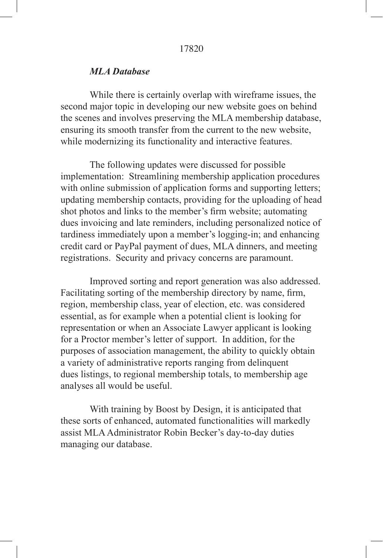#### *MLA Database*

While there is certainly overlap with wireframe issues, the second major topic in developing our new website goes on behind the scenes and involves preserving the MLA membership database, ensuring its smooth transfer from the current to the new website, while modernizing its functionality and interactive features.

The following updates were discussed for possible implementation: Streamlining membership application procedures with online submission of application forms and supporting letters; updating membership contacts, providing for the uploading of head shot photos and links to the member's firm website; automating dues invoicing and late reminders, including personalized notice of tardiness immediately upon a member's logging-in; and enhancing credit card or PayPal payment of dues, MLA dinners, and meeting registrations. Security and privacy concerns are paramount.

Improved sorting and report generation was also addressed. Facilitating sorting of the membership directory by name, firm, region, membership class, year of election, etc. was considered essential, as for example when a potential client is looking for representation or when an Associate Lawyer applicant is looking for a Proctor member's letter of support. In addition, for the purposes of association management, the ability to quickly obtain a variety of administrative reports ranging from delinquent dues listings, to regional membership totals, to membership age analyses all would be useful.

With training by Boost by Design, it is anticipated that these sorts of enhanced, automated functionalities will markedly assist MLA Administrator Robin Becker's day-to-day duties managing our database.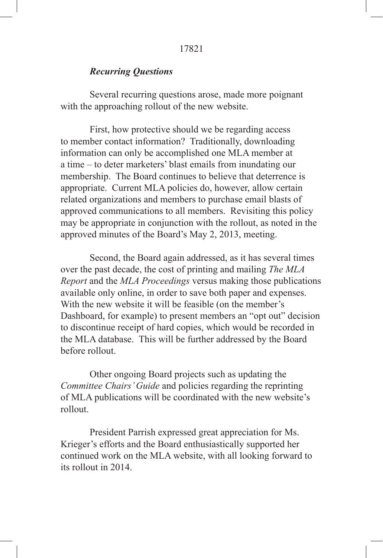## *Recurring Questions*

Several recurring questions arose, made more poignant with the approaching rollout of the new website.

First, how protective should we be regarding access to member contact information? Traditionally, downloading information can only be accomplished one MLA member at a time – to deter marketers' blast emails from inundating our membership. The Board continues to believe that deterrence is appropriate. Current MLA policies do, however, allow certain related organizations and members to purchase email blasts of approved communications to all members. Revisiting this policy may be appropriate in conjunction with the rollout, as noted in the approved minutes of the Board's May 2, 2013, meeting.

Second, the Board again addressed, as it has several times over the past decade, the cost of printing and mailing *The MLA Report* and the *MLA Proceedings* versus making those publications available only online, in order to save both paper and expenses. With the new website it will be feasible (on the member's Dashboard, for example) to present members an "opt out" decision to discontinue receipt of hard copies, which would be recorded in the MLA database. This will be further addressed by the Board before rollout.

Other ongoing Board projects such as updating the *Committee Chairs' Guide* and policies regarding the reprinting of MLA publications will be coordinated with the new website's rollout.

President Parrish expressed great appreciation for Ms. Krieger's efforts and the Board enthusiastically supported her continued work on the MLA website, with all looking forward to its rollout in 2014.